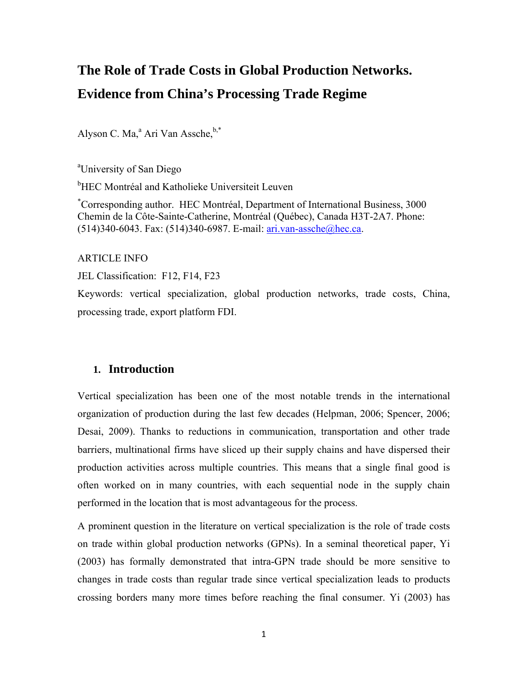# **The Role of Trade Costs in Global Production Networks. Evidence from China's Processing Trade Regime**

Alyson C. Ma,<sup>a</sup> Ari Van Assche,<sup>b,\*</sup>

<sup>a</sup> University of San Diego

<sup>b</sup>HEC Montréal and Katholieke Universiteit Leuven

\* Corresponding author. HEC Montréal, Department of International Business, 3000 Chemin de la Côte-Sainte-Catherine, Montréal (Québec), Canada H3T-2A7. Phone: (514)340-6043. Fax: (514)340-6987. E-mail: ari.van-assche@hec.ca.

ARTICLE INFO

JEL Classification: F12, F14, F23

Keywords: vertical specialization, global production networks, trade costs, China, processing trade, export platform FDI.

### **1. Introduction**

Vertical specialization has been one of the most notable trends in the international organization of production during the last few decades (Helpman, 2006; Spencer, 2006; Desai, 2009). Thanks to reductions in communication, transportation and other trade barriers, multinational firms have sliced up their supply chains and have dispersed their production activities across multiple countries. This means that a single final good is often worked on in many countries, with each sequential node in the supply chain performed in the location that is most advantageous for the process.

A prominent question in the literature on vertical specialization is the role of trade costs on trade within global production networks (GPNs). In a seminal theoretical paper, Yi (2003) has formally demonstrated that intra-GPN trade should be more sensitive to changes in trade costs than regular trade since vertical specialization leads to products crossing borders many more times before reaching the final consumer. Yi (2003) has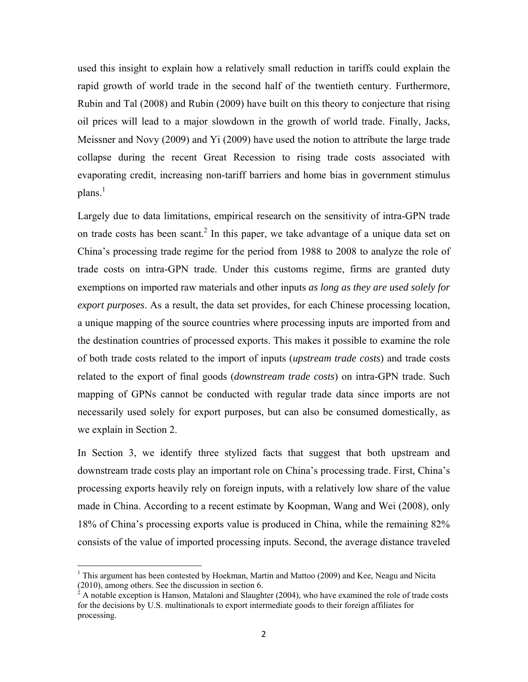used this insight to explain how a relatively small reduction in tariffs could explain the rapid growth of world trade in the second half of the twentieth century. Furthermore, Rubin and Tal (2008) and Rubin (2009) have built on this theory to conjecture that rising oil prices will lead to a major slowdown in the growth of world trade. Finally, Jacks, Meissner and Novy (2009) and Yi (2009) have used the notion to attribute the large trade collapse during the recent Great Recession to rising trade costs associated with evaporating credit, increasing non-tariff barriers and home bias in government stimulus plans. $<sup>1</sup>$ </sup>

Largely due to data limitations, empirical research on the sensitivity of intra-GPN trade on trade costs has been scant.<sup>2</sup> In this paper, we take advantage of a unique data set on China's processing trade regime for the period from 1988 to 2008 to analyze the role of trade costs on intra-GPN trade. Under this customs regime, firms are granted duty exemptions on imported raw materials and other inputs *as long as they are used solely for export purposes*. As a result, the data set provides, for each Chinese processing location, a unique mapping of the source countries where processing inputs are imported from and the destination countries of processed exports. This makes it possible to examine the role of both trade costs related to the import of inputs (*upstream trade costs*) and trade costs related to the export of final goods (*downstream trade costs*) on intra-GPN trade. Such mapping of GPNs cannot be conducted with regular trade data since imports are not necessarily used solely for export purposes, but can also be consumed domestically, as we explain in Section 2.

In Section 3, we identify three stylized facts that suggest that both upstream and downstream trade costs play an important role on China's processing trade. First, China's processing exports heavily rely on foreign inputs, with a relatively low share of the value made in China. According to a recent estimate by Koopman, Wang and Wei (2008), only 18% of China's processing exports value is produced in China, while the remaining 82% consists of the value of imported processing inputs. Second, the average distance traveled

<sup>&</sup>lt;sup>1</sup> This argument has been contested by Hoekman, Martin and Mattoo (2009) and Kee, Neagu and Nicita (2010), among others. See the discussion in section 6.<br><sup>2</sup> A notable exception is Hanson, Mataloni and Slaughter (2004), who have examined the role of trade costs

for the decisions by U.S. multinationals to export intermediate goods to their foreign affiliates for processing.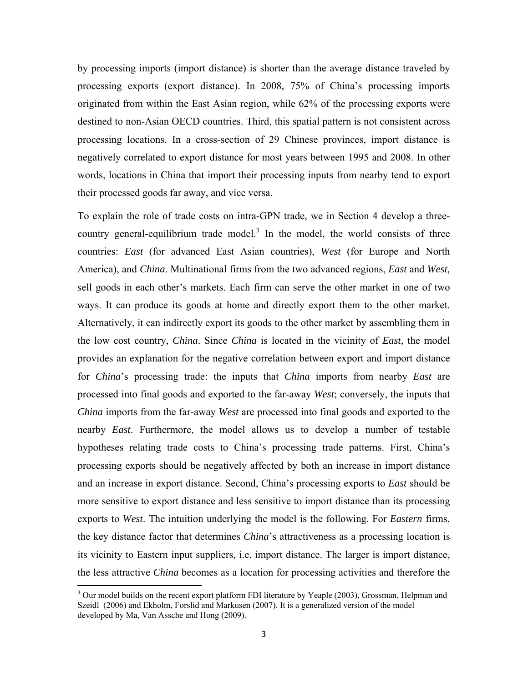by processing imports (import distance) is shorter than the average distance traveled by processing exports (export distance). In 2008, 75% of China's processing imports originated from within the East Asian region, while 62% of the processing exports were destined to non-Asian OECD countries. Third, this spatial pattern is not consistent across processing locations. In a cross-section of 29 Chinese provinces, import distance is negatively correlated to export distance for most years between 1995 and 2008. In other words, locations in China that import their processing inputs from nearby tend to export their processed goods far away, and vice versa.

To explain the role of trade costs on intra-GPN trade, we in Section 4 develop a threecountry general-equilibrium trade model.<sup>3</sup> In the model, the world consists of three countries: *East* (for advanced East Asian countries), *West* (for Europe and North America), and *China*. Multinational firms from the two advanced regions, *East* and *West,* sell goods in each other's markets. Each firm can serve the other market in one of two ways. It can produce its goods at home and directly export them to the other market. Alternatively, it can indirectly export its goods to the other market by assembling them in the low cost country, *China*. Since *China* is located in the vicinity of *East,* the model provides an explanation for the negative correlation between export and import distance for *China*'s processing trade: the inputs that *China* imports from nearby *East* are processed into final goods and exported to the far-away *West*; conversely, the inputs that *China* imports from the far-away *West* are processed into final goods and exported to the nearby *East*. Furthermore, the model allows us to develop a number of testable hypotheses relating trade costs to China's processing trade patterns. First, China's processing exports should be negatively affected by both an increase in import distance and an increase in export distance. Second, China's processing exports to *East* should be more sensitive to export distance and less sensitive to import distance than its processing exports to *West*. The intuition underlying the model is the following. For *Eastern* firms, the key distance factor that determines *China*'s attractiveness as a processing location is its vicinity to Eastern input suppliers, i.e. import distance. The larger is import distance, the less attractive *China* becomes as a location for processing activities and therefore the

<sup>&</sup>lt;sup>3</sup> Our model builds on the recent export platform FDI literature by Yeaple (2003), Grossman, Helpman and Szeidl (2006) and Ekholm, Forslid and Markusen (2007). It is a generalized version of the model developed by Ma, Van Assche and Hong (2009).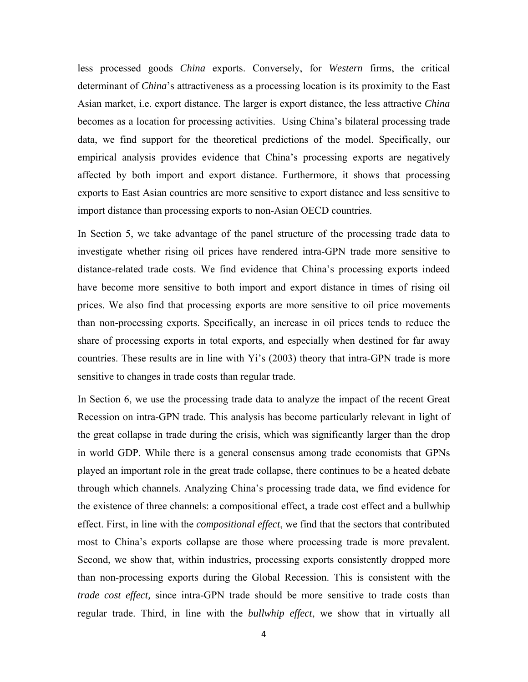less processed goods *China* exports. Conversely, for *Western* firms, the critical determinant of *China*'s attractiveness as a processing location is its proximity to the East Asian market, i.e. export distance. The larger is export distance, the less attractive *China* becomes as a location for processing activities. Using China's bilateral processing trade data, we find support for the theoretical predictions of the model. Specifically, our empirical analysis provides evidence that China's processing exports are negatively affected by both import and export distance. Furthermore, it shows that processing exports to East Asian countries are more sensitive to export distance and less sensitive to import distance than processing exports to non-Asian OECD countries.

In Section 5, we take advantage of the panel structure of the processing trade data to investigate whether rising oil prices have rendered intra-GPN trade more sensitive to distance-related trade costs. We find evidence that China's processing exports indeed have become more sensitive to both import and export distance in times of rising oil prices. We also find that processing exports are more sensitive to oil price movements than non-processing exports. Specifically, an increase in oil prices tends to reduce the share of processing exports in total exports, and especially when destined for far away countries. These results are in line with Yi's (2003) theory that intra-GPN trade is more sensitive to changes in trade costs than regular trade.

In Section 6, we use the processing trade data to analyze the impact of the recent Great Recession on intra-GPN trade. This analysis has become particularly relevant in light of the great collapse in trade during the crisis, which was significantly larger than the drop in world GDP. While there is a general consensus among trade economists that GPNs played an important role in the great trade collapse, there continues to be a heated debate through which channels. Analyzing China's processing trade data, we find evidence for the existence of three channels: a compositional effect, a trade cost effect and a bullwhip effect. First, in line with the *compositional effect*, we find that the sectors that contributed most to China's exports collapse are those where processing trade is more prevalent. Second, we show that, within industries, processing exports consistently dropped more than non-processing exports during the Global Recession. This is consistent with the *trade cost effect,* since intra-GPN trade should be more sensitive to trade costs than regular trade. Third, in line with the *bullwhip effect*, we show that in virtually all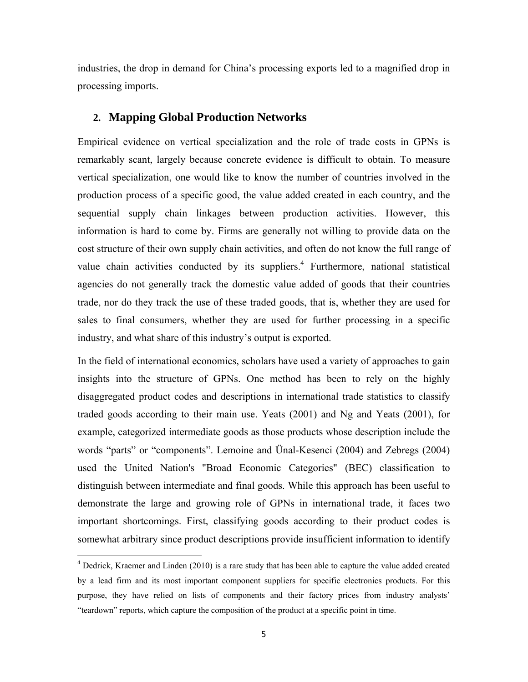industries, the drop in demand for China's processing exports led to a magnified drop in processing imports.

### **2. Mapping Global Production Networks**

Empirical evidence on vertical specialization and the role of trade costs in GPNs is remarkably scant, largely because concrete evidence is difficult to obtain. To measure vertical specialization, one would like to know the number of countries involved in the production process of a specific good, the value added created in each country, and the sequential supply chain linkages between production activities. However, this information is hard to come by. Firms are generally not willing to provide data on the cost structure of their own supply chain activities, and often do not know the full range of value chain activities conducted by its suppliers.<sup>4</sup> Furthermore, national statistical agencies do not generally track the domestic value added of goods that their countries trade, nor do they track the use of these traded goods, that is, whether they are used for sales to final consumers, whether they are used for further processing in a specific industry, and what share of this industry's output is exported.

In the field of international economics, scholars have used a variety of approaches to gain insights into the structure of GPNs. One method has been to rely on the highly disaggregated product codes and descriptions in international trade statistics to classify traded goods according to their main use. Yeats (2001) and Ng and Yeats (2001), for example, categorized intermediate goods as those products whose description include the words "parts" or "components". Lemoine and Ünal-Kesenci (2004) and Zebregs (2004) used the United Nation's "Broad Economic Categories" (BEC) classification to distinguish between intermediate and final goods. While this approach has been useful to demonstrate the large and growing role of GPNs in international trade, it faces two important shortcomings. First, classifying goods according to their product codes is somewhat arbitrary since product descriptions provide insufficient information to identify

<sup>&</sup>lt;sup>4</sup> Dedrick, Kraemer and Linden (2010) is a rare study that has been able to capture the value added created by a lead firm and its most important component suppliers for specific electronics products. For this purpose, they have relied on lists of components and their factory prices from industry analysts' "teardown" reports, which capture the composition of the product at a specific point in time.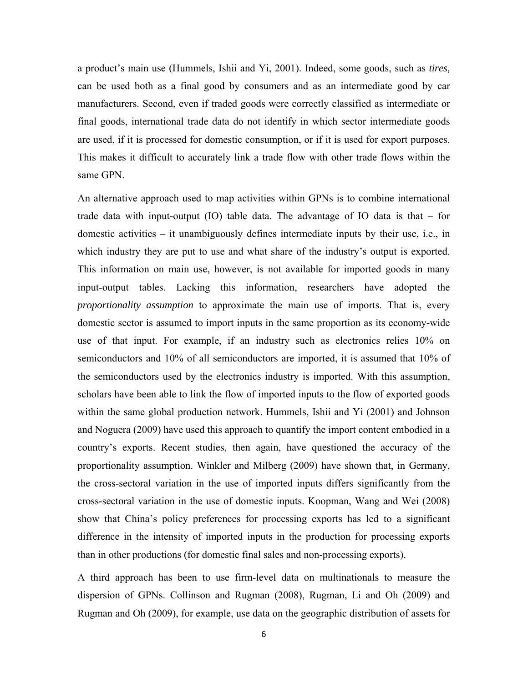a product's main use (Hummels, Ishii and Yi, 2001). Indeed, some goods, such as *tires,* can be used both as a final good by consumers and as an intermediate good by car manufacturers. Second, even if traded goods were correctly classified as intermediate or final goods, international trade data do not identify in which sector intermediate goods are used, if it is processed for domestic consumption, or if it is used for export purposes. This makes it difficult to accurately link a trade flow with other trade flows within the same GPN.

An alternative approach used to map activities within GPNs is to combine international trade data with input-output (IO) table data. The advantage of IO data is that – for domestic activities – it unambiguously defines intermediate inputs by their use, i.e., in which industry they are put to use and what share of the industry's output is exported. This information on main use, however, is not available for imported goods in many input-output tables. Lacking this information, researchers have adopted the *proportionality assumption* to approximate the main use of imports. That is, every domestic sector is assumed to import inputs in the same proportion as its economy-wide use of that input. For example, if an industry such as electronics relies 10% on semiconductors and 10% of all semiconductors are imported, it is assumed that 10% of the semiconductors used by the electronics industry is imported. With this assumption, scholars have been able to link the flow of imported inputs to the flow of exported goods within the same global production network. Hummels, Ishii and Yi (2001) and Johnson and Noguera (2009) have used this approach to quantify the import content embodied in a country's exports. Recent studies, then again, have questioned the accuracy of the proportionality assumption. Winkler and Milberg (2009) have shown that, in Germany, the cross-sectoral variation in the use of imported inputs differs significantly from the cross-sectoral variation in the use of domestic inputs. Koopman, Wang and Wei (2008) show that China's policy preferences for processing exports has led to a significant difference in the intensity of imported inputs in the production for processing exports than in other productions (for domestic final sales and non-processing exports).

A third approach has been to use firm-level data on multinationals to measure the dispersion of GPNs. Collinson and Rugman (2008), Rugman, Li and Oh (2009) and Rugman and Oh (2009), for example, use data on the geographic distribution of assets for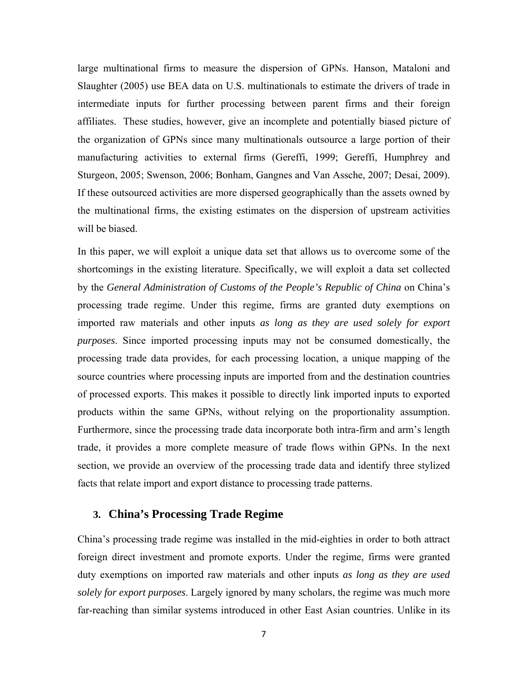large multinational firms to measure the dispersion of GPNs. Hanson, Mataloni and Slaughter (2005) use BEA data on U.S. multinationals to estimate the drivers of trade in intermediate inputs for further processing between parent firms and their foreign affiliates. These studies, however, give an incomplete and potentially biased picture of the organization of GPNs since many multinationals outsource a large portion of their manufacturing activities to external firms (Gereffi, 1999; Gereffi, Humphrey and Sturgeon, 2005; Swenson, 2006; Bonham, Gangnes and Van Assche, 2007; Desai, 2009). If these outsourced activities are more dispersed geographically than the assets owned by the multinational firms, the existing estimates on the dispersion of upstream activities will be biased.

In this paper, we will exploit a unique data set that allows us to overcome some of the shortcomings in the existing literature. Specifically, we will exploit a data set collected by the *General Administration of Customs of the People's Republic of China* on China's processing trade regime. Under this regime, firms are granted duty exemptions on imported raw materials and other inputs *as long as they are used solely for export purposes*. Since imported processing inputs may not be consumed domestically, the processing trade data provides, for each processing location, a unique mapping of the source countries where processing inputs are imported from and the destination countries of processed exports. This makes it possible to directly link imported inputs to exported products within the same GPNs, without relying on the proportionality assumption. Furthermore, since the processing trade data incorporate both intra-firm and arm's length trade, it provides a more complete measure of trade flows within GPNs. In the next section, we provide an overview of the processing trade data and identify three stylized facts that relate import and export distance to processing trade patterns.

#### **3. China's Processing Trade Regime**

China's processing trade regime was installed in the mid-eighties in order to both attract foreign direct investment and promote exports. Under the regime, firms were granted duty exemptions on imported raw materials and other inputs *as long as they are used solely for export purposes*. Largely ignored by many scholars, the regime was much more far-reaching than similar systems introduced in other East Asian countries. Unlike in its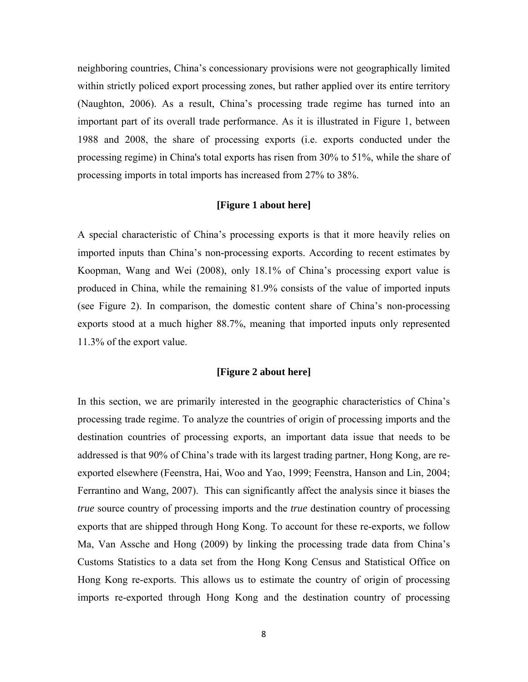neighboring countries, China's concessionary provisions were not geographically limited within strictly policed export processing zones, but rather applied over its entire territory (Naughton, 2006). As a result, China's processing trade regime has turned into an important part of its overall trade performance. As it is illustrated in Figure 1, between 1988 and 2008, the share of processing exports (i.e. exports conducted under the processing regime) in China's total exports has risen from 30% to 51%, while the share of processing imports in total imports has increased from 27% to 38%.

#### **[Figure 1 about here]**

A special characteristic of China's processing exports is that it more heavily relies on imported inputs than China's non-processing exports. According to recent estimates by Koopman, Wang and Wei (2008), only 18.1% of China's processing export value is produced in China, while the remaining 81.9% consists of the value of imported inputs (see Figure 2). In comparison, the domestic content share of China's non-processing exports stood at a much higher 88.7%, meaning that imported inputs only represented 11.3% of the export value.

#### **[Figure 2 about here]**

In this section, we are primarily interested in the geographic characteristics of China's processing trade regime. To analyze the countries of origin of processing imports and the destination countries of processing exports, an important data issue that needs to be addressed is that 90% of China's trade with its largest trading partner, Hong Kong, are reexported elsewhere (Feenstra, Hai, Woo and Yao, 1999; Feenstra, Hanson and Lin, 2004; Ferrantino and Wang, 2007). This can significantly affect the analysis since it biases the *true* source country of processing imports and the *true* destination country of processing exports that are shipped through Hong Kong. To account for these re-exports, we follow Ma, Van Assche and Hong (2009) by linking the processing trade data from China's Customs Statistics to a data set from the Hong Kong Census and Statistical Office on Hong Kong re-exports. This allows us to estimate the country of origin of processing imports re-exported through Hong Kong and the destination country of processing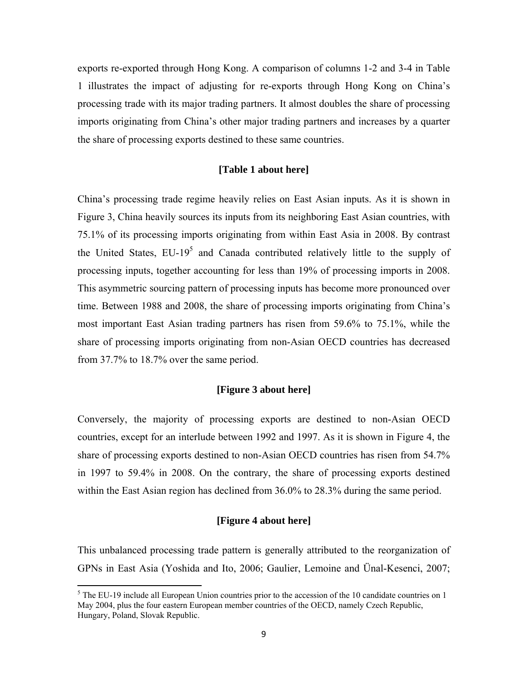exports re-exported through Hong Kong. A comparison of columns 1-2 and 3-4 in Table 1 illustrates the impact of adjusting for re-exports through Hong Kong on China's processing trade with its major trading partners. It almost doubles the share of processing imports originating from China's other major trading partners and increases by a quarter the share of processing exports destined to these same countries.

#### **[Table 1 about here]**

China's processing trade regime heavily relies on East Asian inputs. As it is shown in Figure 3, China heavily sources its inputs from its neighboring East Asian countries, with 75.1% of its processing imports originating from within East Asia in 2008. By contrast the United States,  $EU-19<sup>5</sup>$  and Canada contributed relatively little to the supply of processing inputs, together accounting for less than 19% of processing imports in 2008. This asymmetric sourcing pattern of processing inputs has become more pronounced over time. Between 1988 and 2008, the share of processing imports originating from China's most important East Asian trading partners has risen from 59.6% to 75.1%, while the share of processing imports originating from non-Asian OECD countries has decreased from 37.7% to 18.7% over the same period.

#### **[Figure 3 about here]**

Conversely, the majority of processing exports are destined to non-Asian OECD countries, except for an interlude between 1992 and 1997. As it is shown in Figure 4, the share of processing exports destined to non-Asian OECD countries has risen from 54.7% in 1997 to 59.4% in 2008. On the contrary, the share of processing exports destined within the East Asian region has declined from 36.0% to 28.3% during the same period.

#### **[Figure 4 about here]**

This unbalanced processing trade pattern is generally attributed to the reorganization of GPNs in East Asia (Yoshida and Ito, 2006; Gaulier, Lemoine and Ünal-Kesenci, 2007;

 $<sup>5</sup>$  The EU-19 include all European Union countries prior to the accession of the 10 candidate countries on 1</sup> May 2004, plus the four eastern European member countries of the OECD, namely Czech Republic, Hungary, Poland, Slovak Republic.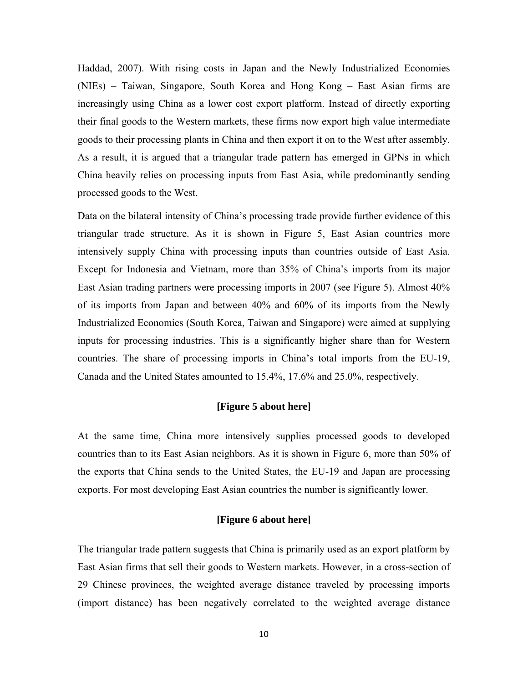Haddad, 2007). With rising costs in Japan and the Newly Industrialized Economies (NIEs) – Taiwan, Singapore, South Korea and Hong Kong – East Asian firms are increasingly using China as a lower cost export platform. Instead of directly exporting their final goods to the Western markets, these firms now export high value intermediate goods to their processing plants in China and then export it on to the West after assembly. As a result, it is argued that a triangular trade pattern has emerged in GPNs in which China heavily relies on processing inputs from East Asia, while predominantly sending processed goods to the West.

Data on the bilateral intensity of China's processing trade provide further evidence of this triangular trade structure. As it is shown in Figure 5, East Asian countries more intensively supply China with processing inputs than countries outside of East Asia. Except for Indonesia and Vietnam, more than 35% of China's imports from its major East Asian trading partners were processing imports in 2007 (see Figure 5). Almost 40% of its imports from Japan and between 40% and 60% of its imports from the Newly Industrialized Economies (South Korea, Taiwan and Singapore) were aimed at supplying inputs for processing industries. This is a significantly higher share than for Western countries. The share of processing imports in China's total imports from the EU-19, Canada and the United States amounted to 15.4%, 17.6% and 25.0%, respectively.

#### **[Figure 5 about here]**

At the same time, China more intensively supplies processed goods to developed countries than to its East Asian neighbors. As it is shown in Figure 6, more than 50% of the exports that China sends to the United States, the EU-19 and Japan are processing exports. For most developing East Asian countries the number is significantly lower.

#### **[Figure 6 about here]**

The triangular trade pattern suggests that China is primarily used as an export platform by East Asian firms that sell their goods to Western markets. However, in a cross-section of 29 Chinese provinces, the weighted average distance traveled by processing imports (import distance) has been negatively correlated to the weighted average distance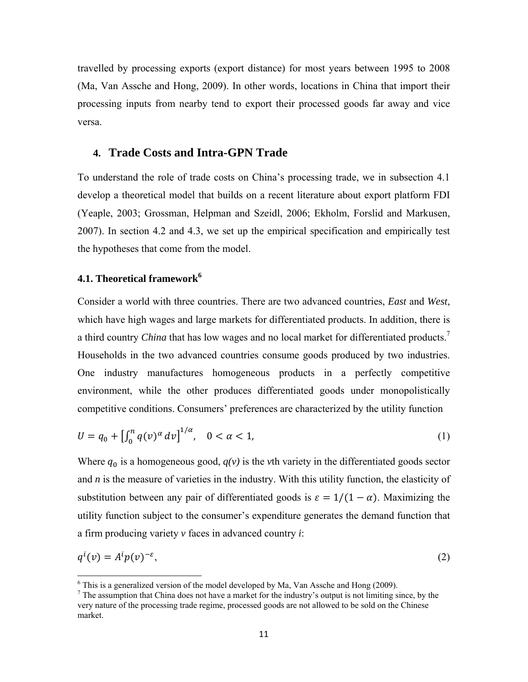travelled by processing exports (export distance) for most years between 1995 to 2008 (Ma, Van Assche and Hong, 2009). In other words, locations in China that import their processing inputs from nearby tend to export their processed goods far away and vice versa.

### **4. Trade Costs and Intra-GPN Trade**

To understand the role of trade costs on China's processing trade, we in subsection 4.1 develop a theoretical model that builds on a recent literature about export platform FDI (Yeaple, 2003; Grossman, Helpman and Szeidl, 2006; Ekholm, Forslid and Markusen, 2007). In section 4.2 and 4.3, we set up the empirical specification and empirically test the hypotheses that come from the model.

# **4.1. Theoretical framework<sup>6</sup>**

Consider a world with three countries. There are two advanced countries, *East* and *West*, which have high wages and large markets for differentiated products. In addition, there is a third country *China* that has low wages and no local market for differentiated products.<sup>7</sup> Households in the two advanced countries consume goods produced by two industries. One industry manufactures homogeneous products in a perfectly competitive environment, while the other produces differentiated goods under monopolistically competitive conditions. Consumers' preferences are characterized by the utility function

$$
U = q_0 + \left[\int_0^n q(v)^\alpha \, dv\right]^{1/\alpha}, \quad 0 < \alpha < 1,\tag{1}
$$

Where  $q_0$  is a homogeneous good,  $q(v)$  is the *v*th variety in the differentiated goods sector and *n* is the measure of varieties in the industry. With this utility function, the elasticity of substitution between any pair of differentiated goods is  $\varepsilon = 1/(1 - \alpha)$ . Maximizing the utility function subject to the consumer's expenditure generates the demand function that a firm producing variety *v* faces in advanced country *i*:

$$
q^{i}(v) = A^{i} p(v)^{-\varepsilon}, \tag{2}
$$

 $6$  This is a generalized version of the model developed by Ma, Van Assche and Hong (2009).

 $<sup>7</sup>$  The assumption that China does not have a market for the industry's output is not limiting since, by the</sup> very nature of the processing trade regime, processed goods are not allowed to be sold on the Chinese market.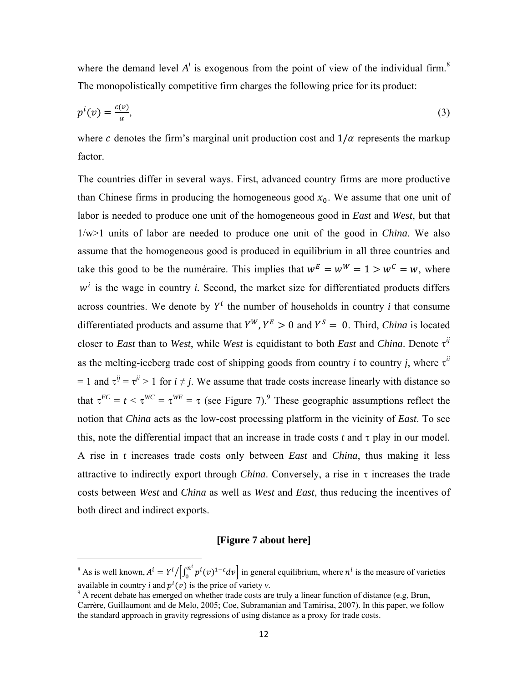where the demand level  $A^i$  is exogenous from the point of view of the individual firm.<sup>8</sup> The monopolistically competitive firm charges the following price for its product:

$$
p^i(v) = \frac{c(v)}{\alpha},\tag{3}
$$

where c denotes the firm's marginal unit production cost and  $1/\alpha$  represents the markup factor.

The countries differ in several ways. First, advanced country firms are more productive than Chinese firms in producing the homogeneous good  $x_0$ . We assume that one unit of labor is needed to produce one unit of the homogeneous good in *East* and *West*, but that 1/w>1 units of labor are needed to produce one unit of the good in *China*. We also assume that the homogeneous good is produced in equilibrium in all three countries and take this good to be the numéraire. This implies that  $w^E = w^W = 1 > w^C = w$ , where  $w<sup>i</sup>$  is the wage in country *i*. Second, the market size for differentiated products differs across countries. We denote by  $Y^i$  the number of households in country *i* that consume differentiated products and assume that  $Y^{W}$ ,  $Y^{E} > 0$  and  $Y^{S} = 0$ . Third, *China* is located closer to *East* than to *West*, while *West* is equidistant to both *East* and *China*. Denote  $\tau^{ij}$ as the melting-iceberg trade cost of shipping goods from country *i* to country *j*, where  $\tau^{ii}$  $= 1$  and  $\tau^{ij} = \tau^{ji} > 1$  for  $i \neq j$ . We assume that trade costs increase linearly with distance so that  $\tau^{EC} = t < \tau^{WC} = \tau^{WE} = \tau$  (see Figure 7).<sup>9</sup> These geographic assumptions reflect the notion that *China* acts as the low-cost processing platform in the vicinity of *East*. To see this, note the differential impact that an increase in trade costs  $t$  and  $\tau$  play in our model. A rise in *t* increases trade costs only between *East* and *China*, thus making it less attractive to indirectly export through *China*. Conversely, a rise in  $\tau$  increases the trade costs between *West* and *China* as well as *West* and *East*, thus reducing the incentives of both direct and indirect exports.

#### **[Figure 7 about here]**

<sup>&</sup>lt;sup>8</sup> As is well known,  $A^i = Y^i / \left[ \int_0^{n_i} p^i(v)^{1-\epsilon} dv \right]$  in general equilibrium, where  $n^i$  is the measure of varieties

available in country *i* and  $p^{i}(v)$  is the price of variety *v*.<br><sup>9</sup> A recent debate has emerged on whether trade costs are truly a linear function of distance (e.g, Brun, Carrère, Guillaumont and de Melo, 2005; Coe, Subramanian and Tamirisa, 2007). In this paper, we follow the standard approach in gravity regressions of using distance as a proxy for trade costs.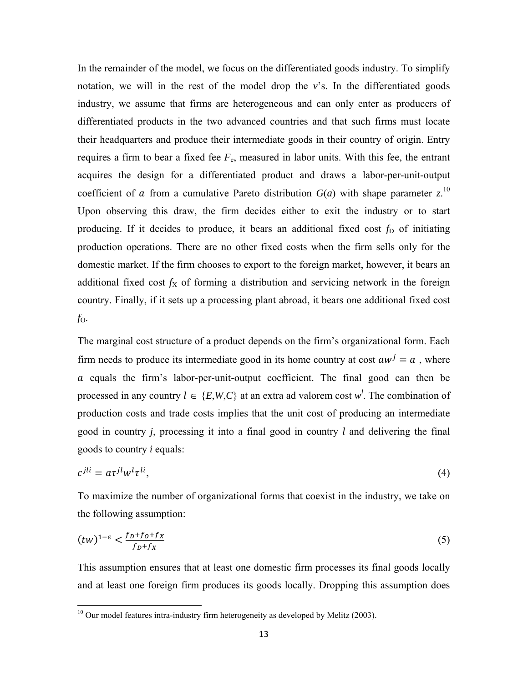In the remainder of the model, we focus on the differentiated goods industry. To simplify notation, we will in the rest of the model drop the  $v$ 's. In the differentiated goods industry, we assume that firms are heterogeneous and can only enter as producers of differentiated products in the two advanced countries and that such firms must locate their headquarters and produce their intermediate goods in their country of origin. Entry requires a firm to bear a fixed fee  $F<sub>e</sub>$ , measured in labor units. With this fee, the entrant acquires the design for a differentiated product and draws a labor-per-unit-output coefficient of *a* from a cumulative Pareto distribution  $G(a)$  with shape parameter *z*.<sup>10</sup> Upon observing this draw, the firm decides either to exit the industry or to start producing. If it decides to produce, it bears an additional fixed cost  $f<sub>D</sub>$  of initiating production operations. There are no other fixed costs when the firm sells only for the domestic market. If the firm chooses to export to the foreign market, however, it bears an additional fixed cost  $f_X$  of forming a distribution and servicing network in the foreign country. Finally, if it sets up a processing plant abroad, it bears one additional fixed cost *f*O.

The marginal cost structure of a product depends on the firm's organizational form. Each firm needs to produce its intermediate good in its home country at cost  $aw^j = a$ , where  $\alpha$  equals the firm's labor-per-unit-output coefficient. The final good can then be processed in any country  $l \in \{E, W, C\}$  at an extra ad valorem cost  $w^l$ . The combination of production costs and trade costs implies that the unit cost of producing an intermediate good in country *j*, processing it into a final good in country *l* and delivering the final goods to country *i* equals:

$$
c^{jli} = a\tau^{jl}w^l\tau^{li},\tag{4}
$$

To maximize the number of organizational forms that coexist in the industry, we take on the following assumption:

$$
(tw)^{1-\varepsilon} < \frac{f_D + f_O + f_X}{f_D + f_X} \tag{5}
$$

This assumption ensures that at least one domestic firm processes its final goods locally and at least one foreign firm produces its goods locally. Dropping this assumption does

 $10$  Our model features intra-industry firm heterogeneity as developed by Melitz (2003).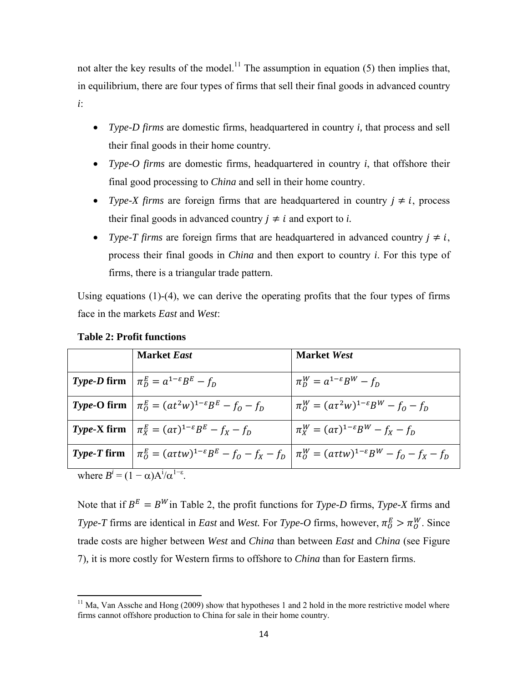not alter the key results of the model.<sup>11</sup> The assumption in equation  $(5)$  then implies that, in equilibrium, there are four types of firms that sell their final goods in advanced country *i*:

- *Type-D firms* are domestic firms, headquartered in country *i,* that process and sell their final goods in their home country*.*
- *Type-O firms* are domestic firms, headquartered in country *i*, that offshore their final good processing to *China* and sell in their home country.
- *Type-X firms* are foreign firms that are headquartered in country  $j \neq i$ , process their final goods in advanced country  $j \neq i$  and export to *i*.
- *Type-T firms* are foreign firms that are headquartered in advanced country  $j \neq i$ , process their final goods in *China* and then export to country *i*. For this type of firms, there is a triangular trade pattern.

Using equations (1)-(4), we can derive the operating profits that the four types of firms face in the markets *East* and *West*:

|                                                         | <b>Market East</b>                                                  | <b>Market West</b>                                                                                                        |
|---------------------------------------------------------|---------------------------------------------------------------------|---------------------------------------------------------------------------------------------------------------------------|
|                                                         |                                                                     |                                                                                                                           |
|                                                         | <i>Type-D</i> firm $\pi_D^E = a^{1-\epsilon}B^E - f_D$              | $\pi_D^W = a^{1-\varepsilon} B^W - f_D$                                                                                   |
|                                                         | <i>Type-O firm</i> $ \pi_0^E = (at^2w)^{1-\epsilon}B^E - f_0 - f_p$ | $\pi_0^W = (a\tau^2 w)^{1-\epsilon} B^W - f_0 - f_D$                                                                      |
|                                                         | <i>Type-X</i> firm $\pi_X^E = (a\tau)^{1-\epsilon}B^E - f_X - f_D$  | $\pi_X^W = (a\tau)^{1-\epsilon}B^W - f_X - f_D$                                                                           |
| <i>Type-T</i> firm                                      |                                                                     | $\int \pi_0^E = (a\tau tw)^{1-\epsilon}B^E - f_0 - f_x - f_D \mid \pi_0^W = (a\tau tw)^{1-\epsilon}B^W - f_0 - f_x - f_D$ |
| where $B^{i} = (1 - \alpha)A^{i}/\alpha^{1-\epsilon}$ . |                                                                     |                                                                                                                           |

### **Table 2: Profit functions**

Note that if  $B^E = B^W$  in Table 2, the profit functions for *Type-D* firms, *Type-X* firms and *Type-T* firms are identical in *East* and *West*. For *Type-O* firms, however,  $\pi_0^E > \pi_0^W$ . Since trade costs are higher between *West* and *China* than between *East* and *China* (see Figure 7)*,* it is more costly for Western firms to offshore to *China* than for Eastern firms.

 $11$  Ma, Van Assche and Hong (2009) show that hypotheses 1 and 2 hold in the more restrictive model where firms cannot offshore production to China for sale in their home country.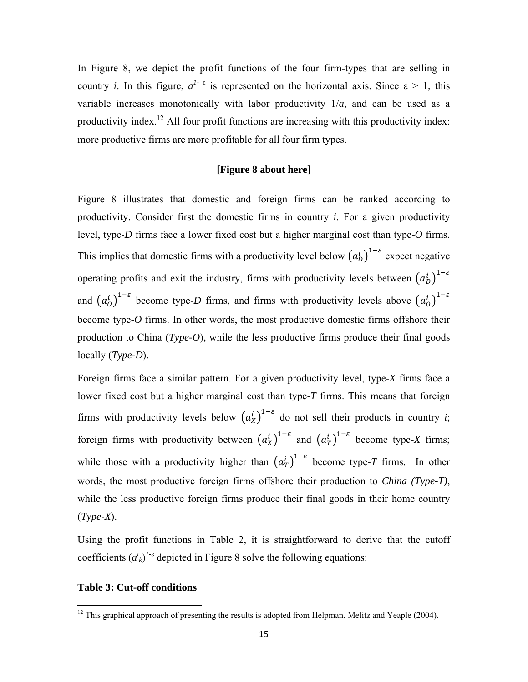In Figure 8, we depict the profit functions of the four firm-types that are selling in country *i*. In this figure,  $a^{1-\epsilon}$  is represented on the horizontal axis. Since  $\epsilon > 1$ , this variable increases monotonically with labor productivity  $1/a$ , and can be used as a productivity index.<sup>12</sup> All four profit functions are increasing with this productivity index: more productive firms are more profitable for all four firm types.

#### **[Figure 8 about here]**

Figure 8 illustrates that domestic and foreign firms can be ranked according to productivity. Consider first the domestic firms in country *i*. For a given productivity level, type-*D* firms face a lower fixed cost but a higher marginal cost than type-*O* firms. This implies that domestic firms with a productivity level below  $(a_b^i)^{1-\varepsilon}$  expect negative operating profits and exit the industry, firms with productivity levels between  $(a_b^i)^{1-\varepsilon}$ and  $(a_0^i)^{1-\varepsilon}$  become type-*D* firms, and firms with productivity levels above  $(a_0^i)^{1-\varepsilon}$ become type-*O* firms. In other words, the most productive domestic firms offshore their production to China (*Type-O*), while the less productive firms produce their final goods locally (*Type-D*).

Foreign firms face a similar pattern. For a given productivity level, type-*X* firms face a lower fixed cost but a higher marginal cost than type-*T* firms. This means that foreign firms with productivity levels below  $(a_X^i)^{1-\epsilon}$  do not sell their products in country *i*; foreign firms with productivity between  $(a_X^i)^{1-\varepsilon}$  and  $(a_T^i)^{1-\varepsilon}$  become type-*X* firms; while those with a productivity higher than  $(a_T^i)^{1-\varepsilon}$  become type-*T* firms. In other words, the most productive foreign firms offshore their production to *China (Type-T)*, while the less productive foreign firms produce their final goods in their home country (*Type-X*).

Using the profit functions in Table 2, it is straightforward to derive that the cutoff coefficients  $(a^i_k)^{1-\epsilon}$  depicted in Figure 8 solve the following equations:

#### **Table 3: Cut-off conditions**

 $12$  This graphical approach of presenting the results is adopted from Helpman, Melitz and Yeaple (2004).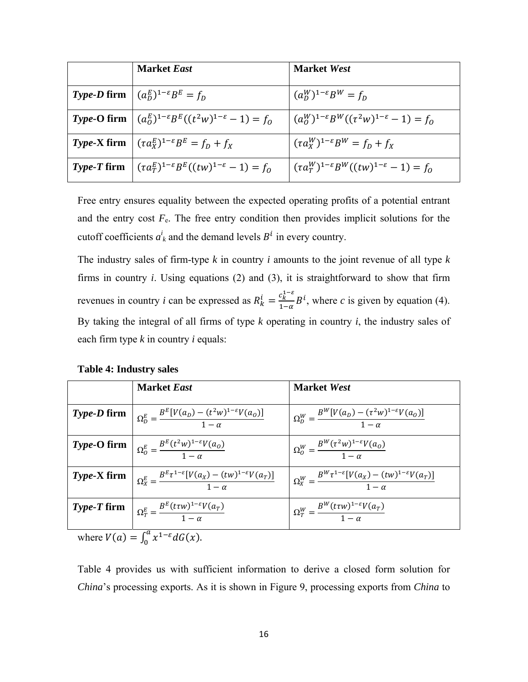| <b>Market East</b>                                                                           | <b>Market West</b>                                           |
|----------------------------------------------------------------------------------------------|--------------------------------------------------------------|
| <i>Type-D</i> firm $(a_D^E)^{1-\epsilon}B^E = f_D$                                           | $(a_n^W)^{1-\varepsilon}B^W = f_n$                           |
| <i>Type-O firm</i> $(a_0^E)^{1-\epsilon}B^E((t^2w)^{1-\epsilon}-1) = f_0$                    | $(a_0^W)^{1-\epsilon}B^W((\tau^2W)^{1-\epsilon}-1)=f_0$      |
| <i>Type-X</i> firm $(\tau a_X^E)^{1-\epsilon}B^E = f_D + f_X$                                | $(\tau a_X^W)^{1-\varepsilon} B^W = f_D + f_X$               |
| <i>Type-T</i> firm $\left  (\tau a_T^E)^{1-\epsilon} B^E((tw)^{1-\epsilon}-1) \right  = f_0$ | $(\tau a_T^W)^{1-\epsilon} B^W((tw)^{1-\epsilon} - 1) = f_0$ |

Free entry ensures equality between the expected operating profits of a potential entrant and the entry cost  $F_e$ . The free entry condition then provides implicit solutions for the cutoff coefficients  $a^i_k$  and the demand levels  $B^i$  in every country.

The industry sales of firm-type *k* in country *i* amounts to the joint revenue of all type *k* firms in country *i*. Using equations (2) and (3), it is straightforward to show that firm revenues in country *i* can be expressed as  $R_k^i = \frac{c_k^{1-\epsilon}}{1-\alpha}$  $\frac{c_k^2}{1-\alpha}B^i$ , where *c* is given by equation (4). By taking the integral of all firms of type *k* operating in country *i*, the industry sales of each firm type *k* in country *i* equals:

|  | <b>Table 4: Industry sales</b> |  |
|--|--------------------------------|--|
|--|--------------------------------|--|

| <b>Market East</b>                                                                                                          | <b>Market West</b>                                                                        |
|-----------------------------------------------------------------------------------------------------------------------------|-------------------------------------------------------------------------------------------|
| <b>Type-D firm</b> $\alpha_{D}^{E} = \frac{B^{E}[V(a_{D}) - (t^{2}W)^{1-\epsilon}V(a_{O})]}{1-\alpha}$                      | $\Omega_D^W = \frac{B^W[V(a_D) - (\tau^2 w)^{1-\epsilon} V(a_O)]}{1-\alpha}$              |
| <i>Type-O firm</i> $Q_0^E = \frac{B^E(t^2w)^{1-\epsilon}V(a_0)}{1-\alpha}$                                                  | $\Omega_0^W = \frac{B^W(\tau^2 w)^{1-\epsilon}V(a_0)}{1-\alpha}$                          |
| <b>Type-X firm</b> $\left  \Omega_X^E = \frac{B^E \tau^{1-\epsilon} [V(a_X) - (tw)^{1-\epsilon} V(a_T)]}{1-\alpha} \right $ | $\Omega_X^W = \frac{B^W \tau^{1-\epsilon} [V(a_X) - (tw)^{1-\epsilon} V(a_T)]}{1-\alpha}$ |
| <b>Type-T firm</b> $Q_T^E = \frac{B^E(t\tau w)^{1-\epsilon}V(a_T)}{1-\alpha}$                                               | $\Omega_T^W = \frac{B^W (t \tau W)^{1-\epsilon} V(a_T)}{1-r}$                             |

where  $V(a) = \int_0^a x^{1-\varepsilon} dG(x)$ .

Table 4 provides us with sufficient information to derive a closed form solution for *China*'s processing exports. As it is shown in Figure 9, processing exports from *China* to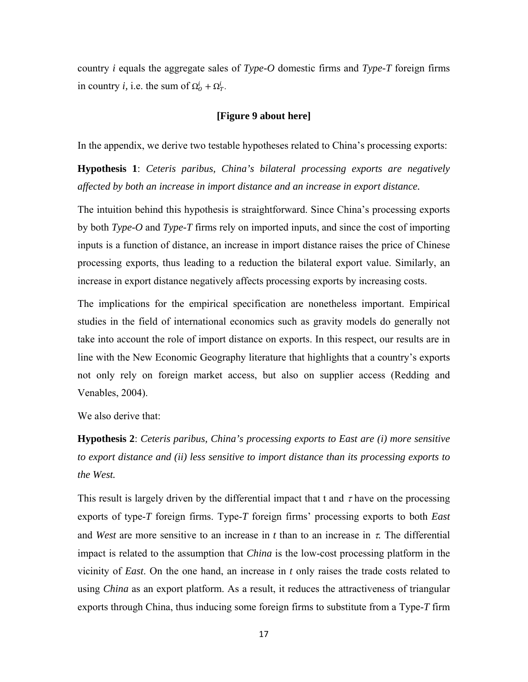country *i* equals the aggregate sales of *Type-O* domestic firms and *Type-T* foreign firms in country *i*, i.e. the sum of  $\Omega^i_0 + \Omega^i_T$ .

#### **[Figure 9 about here]**

In the appendix, we derive two testable hypotheses related to China's processing exports:

**Hypothesis 1**: *Ceteris paribus, China's bilateral processing exports are negatively affected by both an increase in import distance and an increase in export distance.*

The intuition behind this hypothesis is straightforward. Since China's processing exports by both *Type-O* and *Type-T* firms rely on imported inputs, and since the cost of importing inputs is a function of distance, an increase in import distance raises the price of Chinese processing exports, thus leading to a reduction the bilateral export value. Similarly, an increase in export distance negatively affects processing exports by increasing costs.

The implications for the empirical specification are nonetheless important. Empirical studies in the field of international economics such as gravity models do generally not take into account the role of import distance on exports. In this respect, our results are in line with the New Economic Geography literature that highlights that a country's exports not only rely on foreign market access, but also on supplier access (Redding and Venables, 2004).

We also derive that:

**Hypothesis 2**: *Ceteris paribus, China's processing exports to East are (i) more sensitive to export distance and (ii) less sensitive to import distance than its processing exports to the West.* 

This result is largely driven by the differential impact that t and  $\tau$  have on the processing exports of type-*T* foreign firms. Type-*T* foreign firms' processing exports to both *East* and *West* are more sensitive to an increase in  $t$  than to an increase in  $\tau$ . The differential impact is related to the assumption that *China* is the low-cost processing platform in the vicinity of *East*. On the one hand, an increase in *t* only raises the trade costs related to using *China* as an export platform. As a result, it reduces the attractiveness of triangular exports through China, thus inducing some foreign firms to substitute from a Type-*T* firm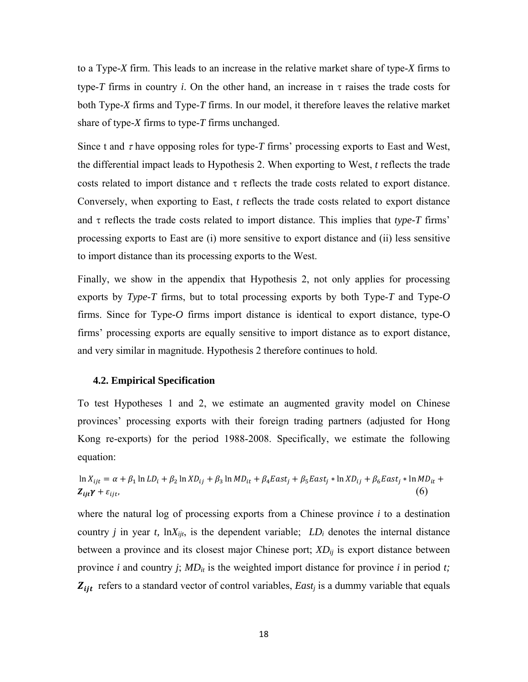to a Type-*X* firm. This leads to an increase in the relative market share of type-*X* firms to type-*T* firms in country *i*. On the other hand, an increase in  $\tau$  raises the trade costs for both Type-*X* firms and Type-*T* firms. In our model, it therefore leaves the relative market share of type-*X* firms to type-*T* firms unchanged.

Since t and  $\tau$  have opposing roles for type- $T$  firms' processing exports to East and West, the differential impact leads to Hypothesis 2. When exporting to West, *t* reflects the trade costs related to import distance and  $\tau$  reflects the trade costs related to export distance. Conversely, when exporting to East, *t* reflects the trade costs related to export distance and  $\tau$  reflects the trade costs related to import distance. This implies that *type-T* firms' processing exports to East are (i) more sensitive to export distance and (ii) less sensitive to import distance than its processing exports to the West.

Finally, we show in the appendix that Hypothesis 2, not only applies for processing exports by *Type-T* firms, but to total processing exports by both Type-*T* and Type-*O*  firms. Since for Type*-O* firms import distance is identical to export distance, type-O firms' processing exports are equally sensitive to import distance as to export distance, and very similar in magnitude. Hypothesis 2 therefore continues to hold.

#### **4.2. Empirical Specification**

To test Hypotheses 1 and 2, we estimate an augmented gravity model on Chinese provinces' processing exports with their foreign trading partners (adjusted for Hong Kong re-exports) for the period 1988-2008. Specifically, we estimate the following equation:

$$
\ln X_{ijt} = \alpha + \beta_1 \ln LD_i + \beta_2 \ln ND_{ij} + \beta_3 \ln MD_{it} + \beta_4 East_j + \beta_5 East_j * \ln ND_{ij} + \beta_6 East_j * \ln MD_{it} + Z_{ijt} \gamma + \varepsilon_{ijt},\tag{6}
$$

where the natural log of processing exports from a Chinese province *i* to a destination country *j* in year *t*,  $\ln X_{ijt}$ , is the dependent variable;  $LD_i$  denotes the internal distance between a province and its closest major Chinese port;  $XD_{ij}$  is export distance between province *i* and country *j*;  $MD_{it}$  is the weighted import distance for province *i* in period *t*;  $Z_{ijt}$  refers to a standard vector of control variables,  $East_j$  is a dummy variable that equals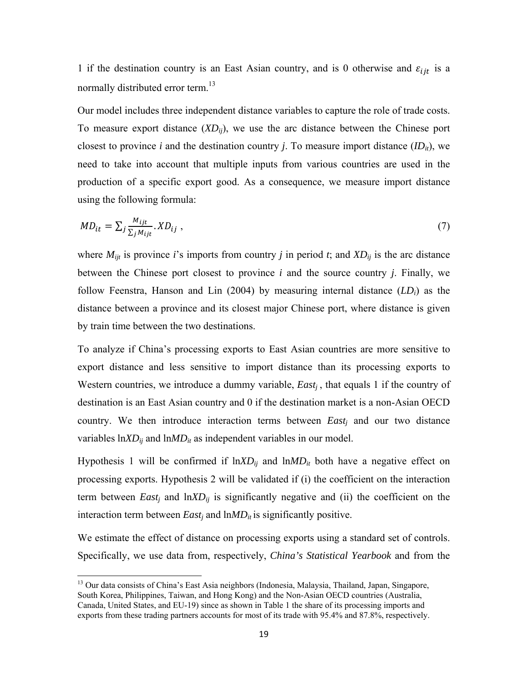1 if the destination country is an East Asian country, and is 0 otherwise and  $\varepsilon_{i}$  is a normally distributed error term.<sup>13</sup>

Our model includes three independent distance variables to capture the role of trade costs. To measure export distance (*XDij*), we use the arc distance between the Chinese port closest to province *i* and the destination country *j*. To measure import distance  $(ID_{it})$ , we need to take into account that multiple inputs from various countries are used in the production of a specific export good. As a consequence, we measure import distance using the following formula:

$$
MD_{it} = \sum_{j} \frac{M_{ijt}}{\sum_{j} M_{ijt}} . \, XD_{ij} \tag{7}
$$

where  $M_{ijt}$  is province *i*'s imports from country *j* in period *t*; and  $XD_{ij}$  is the arc distance between the Chinese port closest to province *i* and the source country *j*. Finally, we follow Feenstra, Hanson and Lin (2004) by measuring internal distance (*LDi*) as the distance between a province and its closest major Chinese port, where distance is given by train time between the two destinations.

To analyze if China's processing exports to East Asian countries are more sensitive to export distance and less sensitive to import distance than its processing exports to Western countries, we introduce a dummy variable, *East<sub>i</sub>*, that equals 1 if the country of destination is an East Asian country and 0 if the destination market is a non-Asian OECD country. We then introduce interaction terms between *Eastj* and our two distance variables  $lnXD_{ij}$  and  $lnMD_{it}$  as independent variables in our model.

Hypothesis 1 will be confirmed if  $ln XD_{ij}$  and  $ln MD_{it}$  both have a negative effect on processing exports. Hypothesis 2 will be validated if (i) the coefficient on the interaction term between *East<sub>i</sub>* and  $lnXD_{ij}$  is significantly negative and (ii) the coefficient on the interaction term between  $East_i$  and  $ln MD_{it}$  is significantly positive.

We estimate the effect of distance on processing exports using a standard set of controls. Specifically, we use data from, respectively, *China's Statistical Yearbook* and from the

<sup>&</sup>lt;sup>13</sup> Our data consists of China's East Asia neighbors (Indonesia, Malaysia, Thailand, Japan, Singapore, South Korea, Philippines, Taiwan, and Hong Kong) and the Non-Asian OECD countries (Australia, Canada, United States, and EU-19) since as shown in Table 1 the share of its processing imports and exports from these trading partners accounts for most of its trade with 95.4% and 87.8%, respectively.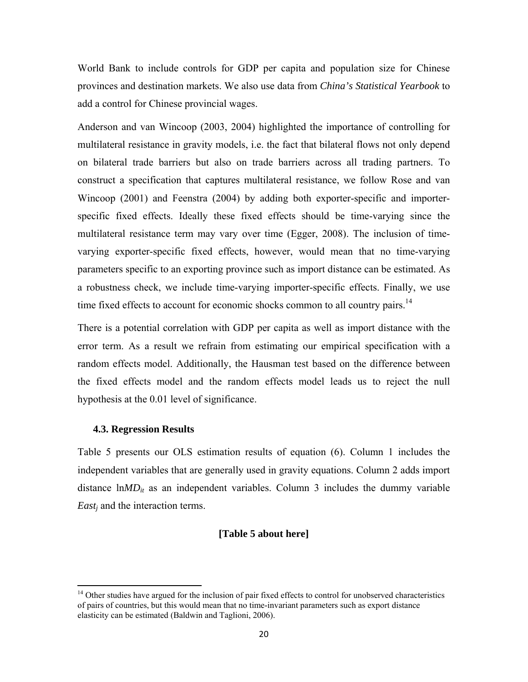World Bank to include controls for GDP per capita and population size for Chinese provinces and destination markets. We also use data from *China's Statistical Yearbook* to add a control for Chinese provincial wages.

Anderson and van Wincoop (2003, 2004) highlighted the importance of controlling for multilateral resistance in gravity models, i.e. the fact that bilateral flows not only depend on bilateral trade barriers but also on trade barriers across all trading partners. To construct a specification that captures multilateral resistance, we follow Rose and van Wincoop (2001) and Feenstra (2004) by adding both exporter-specific and importerspecific fixed effects. Ideally these fixed effects should be time-varying since the multilateral resistance term may vary over time (Egger, 2008). The inclusion of timevarying exporter-specific fixed effects, however, would mean that no time-varying parameters specific to an exporting province such as import distance can be estimated. As a robustness check, we include time-varying importer-specific effects. Finally, we use time fixed effects to account for economic shocks common to all country pairs.<sup>14</sup>

There is a potential correlation with GDP per capita as well as import distance with the error term. As a result we refrain from estimating our empirical specification with a random effects model. Additionally, the Hausman test based on the difference between the fixed effects model and the random effects model leads us to reject the null hypothesis at the 0.01 level of significance.

#### **4.3. Regression Results**

Table 5 presents our OLS estimation results of equation (6). Column 1 includes the independent variables that are generally used in gravity equations. Column 2 adds import distance  $lnMD_{it}$  as an independent variables. Column 3 includes the dummy variable *Eastj* and the interaction terms.

#### **[Table 5 about here]**

<sup>&</sup>lt;sup>14</sup> Other studies have argued for the inclusion of pair fixed effects to control for unobserved characteristics of pairs of countries, but this would mean that no time-invariant parameters such as export distance elasticity can be estimated (Baldwin and Taglioni, 2006).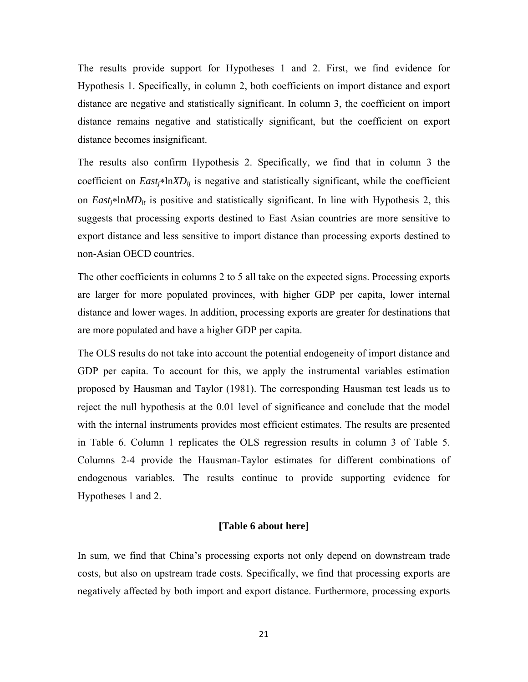The results provide support for Hypotheses 1 and 2. First, we find evidence for Hypothesis 1. Specifically, in column 2, both coefficients on import distance and export distance are negative and statistically significant. In column 3, the coefficient on import distance remains negative and statistically significant, but the coefficient on export distance becomes insignificant.

The results also confirm Hypothesis 2. Specifically, we find that in column 3 the coefficient on  $East<sub>j</sub>*lnXD<sub>ij</sub>$  is negative and statistically significant, while the coefficient on  $East_i * lnMD_i$  is positive and statistically significant. In line with Hypothesis 2, this suggests that processing exports destined to East Asian countries are more sensitive to export distance and less sensitive to import distance than processing exports destined to non-Asian OECD countries.

The other coefficients in columns 2 to 5 all take on the expected signs. Processing exports are larger for more populated provinces, with higher GDP per capita, lower internal distance and lower wages. In addition, processing exports are greater for destinations that are more populated and have a higher GDP per capita.

The OLS results do not take into account the potential endogeneity of import distance and GDP per capita. To account for this, we apply the instrumental variables estimation proposed by Hausman and Taylor (1981). The corresponding Hausman test leads us to reject the null hypothesis at the 0.01 level of significance and conclude that the model with the internal instruments provides most efficient estimates. The results are presented in Table 6. Column 1 replicates the OLS regression results in column 3 of Table 5. Columns 2-4 provide the Hausman-Taylor estimates for different combinations of endogenous variables. The results continue to provide supporting evidence for Hypotheses 1 and 2.

#### **[Table 6 about here]**

In sum, we find that China's processing exports not only depend on downstream trade costs, but also on upstream trade costs. Specifically, we find that processing exports are negatively affected by both import and export distance. Furthermore, processing exports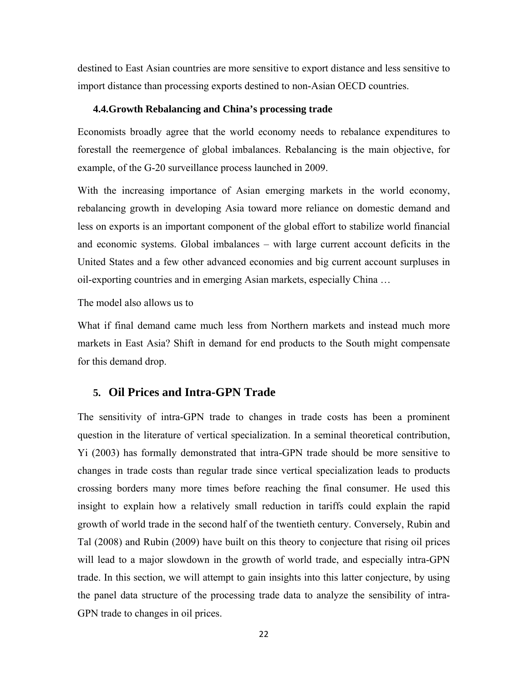destined to East Asian countries are more sensitive to export distance and less sensitive to import distance than processing exports destined to non-Asian OECD countries.

#### **4.4.Growth Rebalancing and China's processing trade**

Economists broadly agree that the world economy needs to rebalance expenditures to forestall the reemergence of global imbalances. Rebalancing is the main objective, for example, of the G-20 surveillance process launched in 2009.

With the increasing importance of Asian emerging markets in the world economy, rebalancing growth in developing Asia toward more reliance on domestic demand and less on exports is an important component of the global effort to stabilize world financial and economic systems. Global imbalances – with large current account deficits in the United States and a few other advanced economies and big current account surpluses in oil-exporting countries and in emerging Asian markets, especially China …

The model also allows us to

What if final demand came much less from Northern markets and instead much more markets in East Asia? Shift in demand for end products to the South might compensate for this demand drop.

### **5. Oil Prices and Intra-GPN Trade**

The sensitivity of intra-GPN trade to changes in trade costs has been a prominent question in the literature of vertical specialization. In a seminal theoretical contribution, Yi (2003) has formally demonstrated that intra-GPN trade should be more sensitive to changes in trade costs than regular trade since vertical specialization leads to products crossing borders many more times before reaching the final consumer. He used this insight to explain how a relatively small reduction in tariffs could explain the rapid growth of world trade in the second half of the twentieth century. Conversely, Rubin and Tal (2008) and Rubin (2009) have built on this theory to conjecture that rising oil prices will lead to a major slowdown in the growth of world trade, and especially intra-GPN trade. In this section, we will attempt to gain insights into this latter conjecture, by using the panel data structure of the processing trade data to analyze the sensibility of intra-GPN trade to changes in oil prices.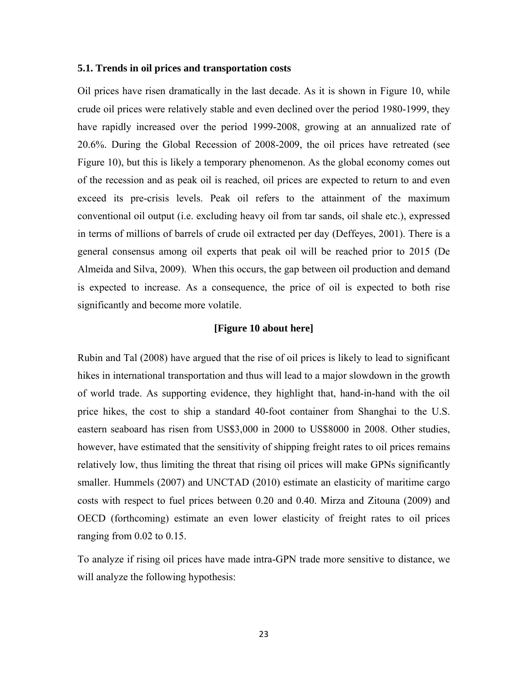#### **5.1. Trends in oil prices and transportation costs**

Oil prices have risen dramatically in the last decade. As it is shown in Figure 10, while crude oil prices were relatively stable and even declined over the period 1980-1999, they have rapidly increased over the period 1999-2008, growing at an annualized rate of 20.6%. During the Global Recession of 2008-2009, the oil prices have retreated (see Figure 10), but this is likely a temporary phenomenon. As the global economy comes out of the recession and as peak oil is reached, oil prices are expected to return to and even exceed its pre-crisis levels. Peak oil refers to the attainment of the maximum conventional oil output (i.e. excluding heavy oil from tar sands, oil shale etc.), expressed in terms of millions of barrels of crude oil extracted per day (Deffeyes, 2001). There is a general consensus among oil experts that peak oil will be reached prior to 2015 (De Almeida and Silva, 2009). When this occurs, the gap between oil production and demand is expected to increase. As a consequence, the price of oil is expected to both rise significantly and become more volatile.

#### **[Figure 10 about here]**

Rubin and Tal (2008) have argued that the rise of oil prices is likely to lead to significant hikes in international transportation and thus will lead to a major slowdown in the growth of world trade. As supporting evidence, they highlight that, hand-in-hand with the oil price hikes, the cost to ship a standard 40-foot container from Shanghai to the U.S. eastern seaboard has risen from US\$3,000 in 2000 to US\$8000 in 2008. Other studies, however, have estimated that the sensitivity of shipping freight rates to oil prices remains relatively low, thus limiting the threat that rising oil prices will make GPNs significantly smaller. Hummels (2007) and UNCTAD (2010) estimate an elasticity of maritime cargo costs with respect to fuel prices between 0.20 and 0.40. Mirza and Zitouna (2009) and OECD (forthcoming) estimate an even lower elasticity of freight rates to oil prices ranging from 0.02 to 0.15.

To analyze if rising oil prices have made intra-GPN trade more sensitive to distance, we will analyze the following hypothesis: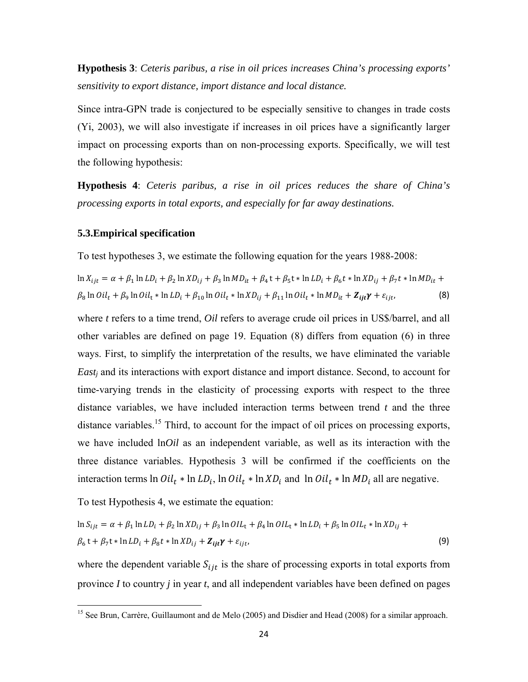**Hypothesis 3**: *Ceteris paribus, a rise in oil prices increases China's processing exports' sensitivity to export distance, import distance and local distance.* 

Since intra-GPN trade is conjectured to be especially sensitive to changes in trade costs (Yi, 2003), we will also investigate if increases in oil prices have a significantly larger impact on processing exports than on non-processing exports. Specifically, we will test the following hypothesis:

**Hypothesis 4**: *Ceteris paribus, a rise in oil prices reduces the share of China's processing exports in total exports, and especially for far away destinations.*

#### **5.3.Empirical specification**

To test hypotheses 3, we estimate the following equation for the years 1988-2008:

$$
\ln X_{ijt} = \alpha + \beta_1 \ln LD_i + \beta_2 \ln ND_{ij} + \beta_3 \ln MD_{it} + \beta_4 t + \beta_5 t * \ln LD_i + \beta_6 t * \ln ND_{ij} + \beta_7 t * \ln MD_{it} +
$$
  

$$
\beta_8 \ln Oil_t + \beta_9 \ln Oil_t * \ln LD_i + \beta_{10} \ln Oil_t * \ln ND_{ij} + \beta_{11} \ln Oil_t * \ln MD_{it} + Z_{ijt} \gamma + \varepsilon_{ijt},
$$
 (8)

where *t* refers to a time trend, *Oil* refers to average crude oil prices in US\$/barrel, and all other variables are defined on page 19. Equation (8) differs from equation (6) in three ways. First, to simplify the interpretation of the results, we have eliminated the variable *Eastj* and its interactions with export distance and import distance. Second, to account for time-varying trends in the elasticity of processing exports with respect to the three distance variables, we have included interaction terms between trend *t* and the three distance variables.<sup>15</sup> Third, to account for the impact of oil prices on processing exports, we have included ln*Oil* as an independent variable, as well as its interaction with the three distance variables. Hypothesis 3 will be confirmed if the coefficients on the interaction terms  $\ln Oil_t * \ln L D_i$ ,  $\ln Oil_t * \ln X D_i$  and  $\ln Oil_t * \ln M D_i$  all are negative.

To test Hypothesis 4, we estimate the equation:

$$
\ln S_{ijt} = \alpha + \beta_1 \ln LD_i + \beta_2 \ln ND_{ij} + \beta_3 \ln OIL_t + \beta_4 \ln OIL_t * \ln LD_i + \beta_5 \ln OIL_t * \ln XD_{ij} +
$$
  

$$
\beta_6 t + \beta_7 t * \ln LD_i + \beta_8 t * \ln XD_{ij} + \mathbf{Z}_{ijt} \gamma + \varepsilon_{ijt},
$$
 (9)

where the dependent variable  $S_{i}$  is the share of processing exports in total exports from province *I* to country *j* in year *t*, and all independent variables have been defined on pages

<sup>&</sup>lt;sup>15</sup> See Brun, Carrère, Guillaumont and de Melo (2005) and Disdier and Head (2008) for a similar approach.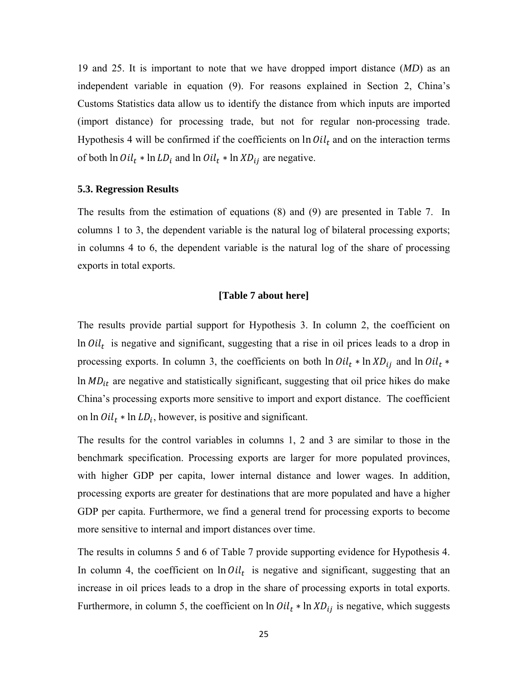19 and 25. It is important to note that we have dropped import distance (*MD*) as an independent variable in equation (9). For reasons explained in Section 2, China's Customs Statistics data allow us to identify the distance from which inputs are imported (import distance) for processing trade, but not for regular non-processing trade. Hypothesis 4 will be confirmed if the coefficients on  $\ln Oil_t$  and on the interaction terms of both  $ln Oil_t * ln LD_i$  and  $ln Oil_t * ln ND_{ij}$  are negative.

#### **5.3. Regression Results**

The results from the estimation of equations (8) and (9) are presented in Table 7. In columns 1 to 3, the dependent variable is the natural log of bilateral processing exports; in columns 4 to 6, the dependent variable is the natural log of the share of processing exports in total exports.

#### **[Table 7 about here]**

The results provide partial support for Hypothesis 3. In column 2, the coefficient on In  $Oil_t$  is negative and significant, suggesting that a rise in oil prices leads to a drop in processing exports. In column 3, the coefficients on both  $ln Oil_t * ln XD_{ij}$  and  $ln Oil_t *$  $\ln MD_{it}$  are negative and statistically significant, suggesting that oil price hikes do make China's processing exports more sensitive to import and export distance. The coefficient on  $ln Oil_t * ln LD_t$ , however, is positive and significant.

The results for the control variables in columns 1, 2 and 3 are similar to those in the benchmark specification. Processing exports are larger for more populated provinces, with higher GDP per capita, lower internal distance and lower wages. In addition, processing exports are greater for destinations that are more populated and have a higher GDP per capita. Furthermore, we find a general trend for processing exports to become more sensitive to internal and import distances over time.

The results in columns 5 and 6 of Table 7 provide supporting evidence for Hypothesis 4. In column 4, the coefficient on  $ln Oil_t$  is negative and significant, suggesting that an increase in oil prices leads to a drop in the share of processing exports in total exports. Furthermore, in column 5, the coefficient on ln  $Oil_t * \ln XD_{ij}$  is negative, which suggests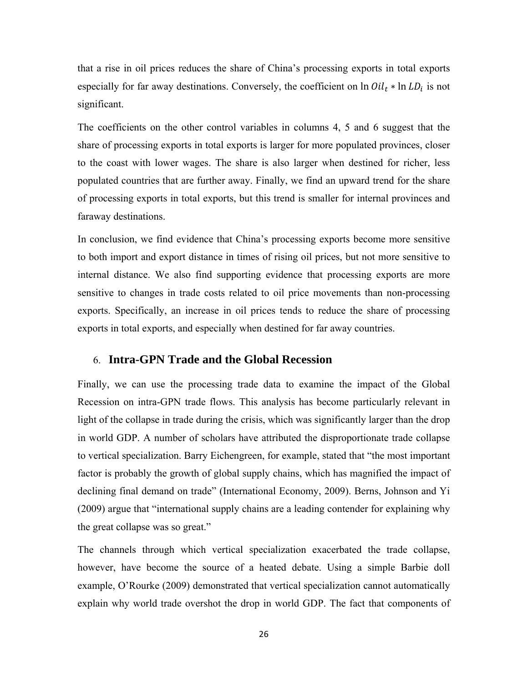that a rise in oil prices reduces the share of China's processing exports in total exports especially for far away destinations. Conversely, the coefficient on  $ln Oil_t * ln LD_i$  is not significant.

The coefficients on the other control variables in columns 4, 5 and 6 suggest that the share of processing exports in total exports is larger for more populated provinces, closer to the coast with lower wages. The share is also larger when destined for richer, less populated countries that are further away. Finally, we find an upward trend for the share of processing exports in total exports, but this trend is smaller for internal provinces and faraway destinations.

In conclusion, we find evidence that China's processing exports become more sensitive to both import and export distance in times of rising oil prices, but not more sensitive to internal distance. We also find supporting evidence that processing exports are more sensitive to changes in trade costs related to oil price movements than non-processing exports. Specifically, an increase in oil prices tends to reduce the share of processing exports in total exports, and especially when destined for far away countries.

### 6. **Intra-GPN Trade and the Global Recession**

Finally, we can use the processing trade data to examine the impact of the Global Recession on intra-GPN trade flows. This analysis has become particularly relevant in light of the collapse in trade during the crisis, which was significantly larger than the drop in world GDP. A number of scholars have attributed the disproportionate trade collapse to vertical specialization. Barry Eichengreen, for example, stated that "the most important factor is probably the growth of global supply chains, which has magnified the impact of declining final demand on trade" (International Economy, 2009). Berns, Johnson and Yi (2009) argue that "international supply chains are a leading contender for explaining why the great collapse was so great."

The channels through which vertical specialization exacerbated the trade collapse, however, have become the source of a heated debate. Using a simple Barbie doll example, O'Rourke (2009) demonstrated that vertical specialization cannot automatically explain why world trade overshot the drop in world GDP. The fact that components of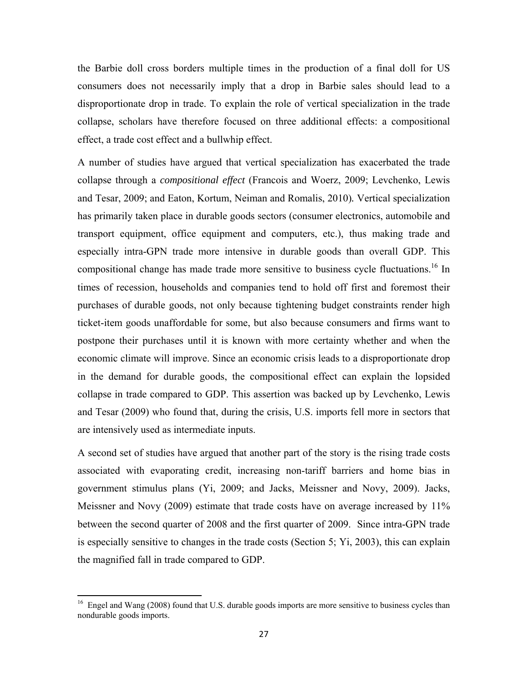the Barbie doll cross borders multiple times in the production of a final doll for US consumers does not necessarily imply that a drop in Barbie sales should lead to a disproportionate drop in trade. To explain the role of vertical specialization in the trade collapse, scholars have therefore focused on three additional effects: a compositional effect, a trade cost effect and a bullwhip effect.

A number of studies have argued that vertical specialization has exacerbated the trade collapse through a *compositional effect* (Francois and Woerz, 2009; Levchenko, Lewis and Tesar, 2009; and Eaton, Kortum, Neiman and Romalis, 2010)*.* Vertical specialization has primarily taken place in durable goods sectors (consumer electronics, automobile and transport equipment, office equipment and computers, etc.), thus making trade and especially intra-GPN trade more intensive in durable goods than overall GDP. This compositional change has made trade more sensitive to business cycle fluctuations.<sup>16</sup> In times of recession, households and companies tend to hold off first and foremost their purchases of durable goods, not only because tightening budget constraints render high ticket-item goods unaffordable for some, but also because consumers and firms want to postpone their purchases until it is known with more certainty whether and when the economic climate will improve. Since an economic crisis leads to a disproportionate drop in the demand for durable goods, the compositional effect can explain the lopsided collapse in trade compared to GDP. This assertion was backed up by Levchenko, Lewis and Tesar (2009) who found that, during the crisis, U.S. imports fell more in sectors that are intensively used as intermediate inputs.

A second set of studies have argued that another part of the story is the rising trade costs associated with evaporating credit, increasing non-tariff barriers and home bias in government stimulus plans (Yi, 2009; and Jacks, Meissner and Novy, 2009). Jacks, Meissner and Novy (2009) estimate that trade costs have on average increased by 11% between the second quarter of 2008 and the first quarter of 2009. Since intra-GPN trade is especially sensitive to changes in the trade costs (Section 5; Yi, 2003), this can explain the magnified fall in trade compared to GDP.

<sup>&</sup>lt;sup>16</sup> Engel and Wang (2008) found that U.S. durable goods imports are more sensitive to business cycles than nondurable goods imports.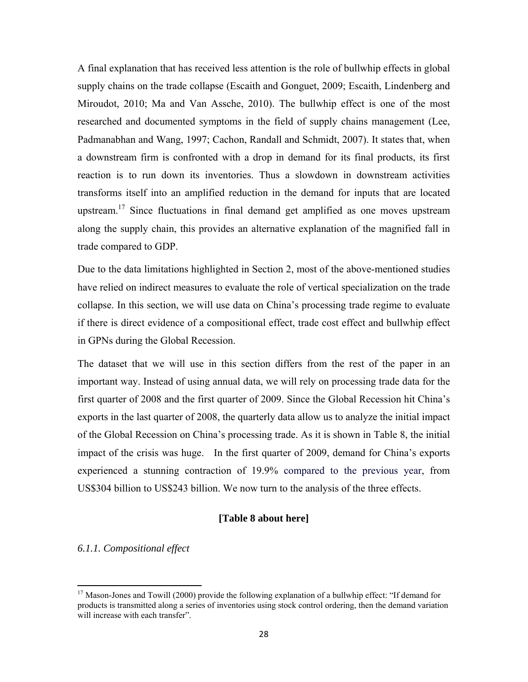A final explanation that has received less attention is the role of bullwhip effects in global supply chains on the trade collapse (Escaith and Gonguet, 2009; Escaith, Lindenberg and Miroudot, 2010; Ma and Van Assche, 2010). The bullwhip effect is one of the most researched and documented symptoms in the field of supply chains management (Lee, Padmanabhan and Wang, 1997; Cachon, Randall and Schmidt, 2007). It states that, when a downstream firm is confronted with a drop in demand for its final products, its first reaction is to run down its inventories. Thus a slowdown in downstream activities transforms itself into an amplified reduction in the demand for inputs that are located upstream.<sup>17</sup> Since fluctuations in final demand get amplified as one moves upstream along the supply chain, this provides an alternative explanation of the magnified fall in trade compared to GDP.

Due to the data limitations highlighted in Section 2, most of the above-mentioned studies have relied on indirect measures to evaluate the role of vertical specialization on the trade collapse. In this section, we will use data on China's processing trade regime to evaluate if there is direct evidence of a compositional effect, trade cost effect and bullwhip effect in GPNs during the Global Recession.

The dataset that we will use in this section differs from the rest of the paper in an important way. Instead of using annual data, we will rely on processing trade data for the first quarter of 2008 and the first quarter of 2009. Since the Global Recession hit China's exports in the last quarter of 2008, the quarterly data allow us to analyze the initial impact of the Global Recession on China's processing trade. As it is shown in Table 8, the initial impact of the crisis was huge. In the first quarter of 2009, demand for China's exports experienced a stunning contraction of 19.9% compared to the previous year, from US\$304 billion to US\$243 billion. We now turn to the analysis of the three effects.

### **[Table 8 about here]**

#### *6.1.1. Compositional effect*

<sup>&</sup>lt;sup>17</sup> Mason-Jones and Towill (2000) provide the following explanation of a bullwhip effect: "If demand for products is transmitted along a series of inventories using stock control ordering, then the demand variation will increase with each transfer".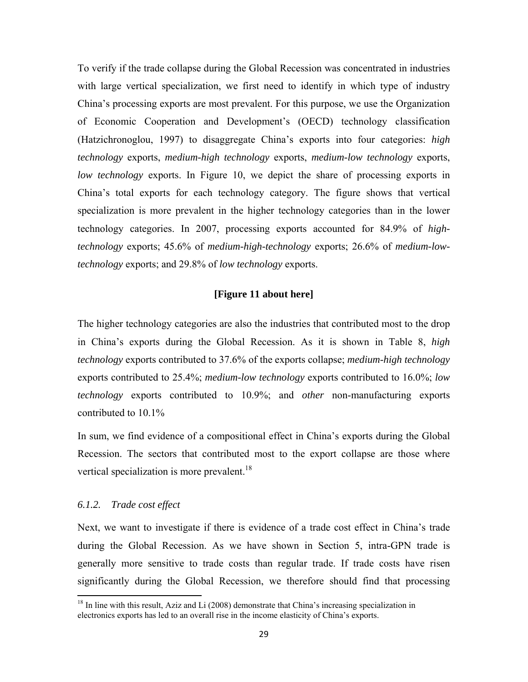To verify if the trade collapse during the Global Recession was concentrated in industries with large vertical specialization, we first need to identify in which type of industry China's processing exports are most prevalent. For this purpose, we use the Organization of Economic Cooperation and Development's (OECD) technology classification (Hatzichronoglou, 1997) to disaggregate China's exports into four categories: *high technology* exports, *medium-high technology* exports, *medium-low technology* exports, *low technology* exports. In Figure 10, we depict the share of processing exports in China's total exports for each technology category. The figure shows that vertical specialization is more prevalent in the higher technology categories than in the lower technology categories. In 2007, processing exports accounted for 84.9% of *hightechnology* exports; 45.6% of *medium-high-technology* exports; 26.6% of *medium-lowtechnology* exports; and 29.8% of *low technology* exports.

#### **[Figure 11 about here]**

The higher technology categories are also the industries that contributed most to the drop in China's exports during the Global Recession. As it is shown in Table 8, *high technology* exports contributed to 37.6% of the exports collapse; *medium-high technology* exports contributed to 25.4%; *medium-low technology* exports contributed to 16.0%; *low technology* exports contributed to 10.9%; and *other* non-manufacturing exports contributed to 10.1%

In sum, we find evidence of a compositional effect in China's exports during the Global Recession. The sectors that contributed most to the export collapse are those where vertical specialization is more prevalent.<sup>18</sup>

#### *6.1.2. Trade cost effect*

Next, we want to investigate if there is evidence of a trade cost effect in China's trade during the Global Recession. As we have shown in Section 5, intra-GPN trade is generally more sensitive to trade costs than regular trade. If trade costs have risen significantly during the Global Recession, we therefore should find that processing

 $18$  In line with this result, Aziz and Li (2008) demonstrate that China's increasing specialization in electronics exports has led to an overall rise in the income elasticity of China's exports.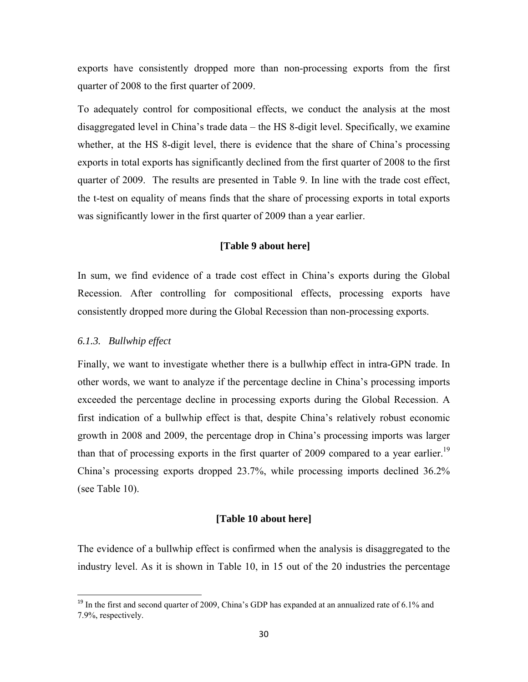exports have consistently dropped more than non-processing exports from the first quarter of 2008 to the first quarter of 2009.

To adequately control for compositional effects, we conduct the analysis at the most disaggregated level in China's trade data – the HS 8-digit level. Specifically, we examine whether, at the HS 8-digit level, there is evidence that the share of China's processing exports in total exports has significantly declined from the first quarter of 2008 to the first quarter of 2009. The results are presented in Table 9. In line with the trade cost effect, the t-test on equality of means finds that the share of processing exports in total exports was significantly lower in the first quarter of 2009 than a year earlier.

#### **[Table 9 about here]**

In sum, we find evidence of a trade cost effect in China's exports during the Global Recession. After controlling for compositional effects, processing exports have consistently dropped more during the Global Recession than non-processing exports.

#### *6.1.3. Bullwhip effect*

Finally, we want to investigate whether there is a bullwhip effect in intra-GPN trade. In other words, we want to analyze if the percentage decline in China's processing imports exceeded the percentage decline in processing exports during the Global Recession. A first indication of a bullwhip effect is that, despite China's relatively robust economic growth in 2008 and 2009, the percentage drop in China's processing imports was larger than that of processing exports in the first quarter of 2009 compared to a year earlier.<sup>19</sup> China's processing exports dropped 23.7%, while processing imports declined 36.2% (see Table 10).

#### **[Table 10 about here]**

The evidence of a bullwhip effect is confirmed when the analysis is disaggregated to the industry level. As it is shown in Table 10, in 15 out of the 20 industries the percentage

<sup>&</sup>lt;sup>19</sup> In the first and second quarter of 2009, China's GDP has expanded at an annualized rate of 6.1% and 7.9%, respectively.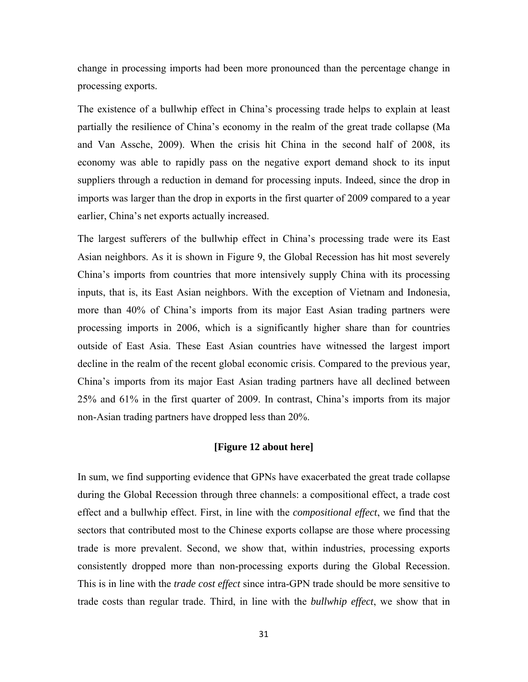change in processing imports had been more pronounced than the percentage change in processing exports.

The existence of a bullwhip effect in China's processing trade helps to explain at least partially the resilience of China's economy in the realm of the great trade collapse (Ma and Van Assche, 2009). When the crisis hit China in the second half of 2008, its economy was able to rapidly pass on the negative export demand shock to its input suppliers through a reduction in demand for processing inputs. Indeed, since the drop in imports was larger than the drop in exports in the first quarter of 2009 compared to a year earlier, China's net exports actually increased.

The largest sufferers of the bullwhip effect in China's processing trade were its East Asian neighbors. As it is shown in Figure 9, the Global Recession has hit most severely China's imports from countries that more intensively supply China with its processing inputs, that is, its East Asian neighbors. With the exception of Vietnam and Indonesia, more than 40% of China's imports from its major East Asian trading partners were processing imports in 2006, which is a significantly higher share than for countries outside of East Asia. These East Asian countries have witnessed the largest import decline in the realm of the recent global economic crisis. Compared to the previous year, China's imports from its major East Asian trading partners have all declined between 25% and 61% in the first quarter of 2009. In contrast, China's imports from its major non-Asian trading partners have dropped less than 20%.

### **[Figure 12 about here]**

In sum, we find supporting evidence that GPNs have exacerbated the great trade collapse during the Global Recession through three channels: a compositional effect, a trade cost effect and a bullwhip effect. First, in line with the *compositional effect*, we find that the sectors that contributed most to the Chinese exports collapse are those where processing trade is more prevalent. Second, we show that, within industries, processing exports consistently dropped more than non-processing exports during the Global Recession. This is in line with the *trade cost effect* since intra-GPN trade should be more sensitive to trade costs than regular trade. Third, in line with the *bullwhip effect*, we show that in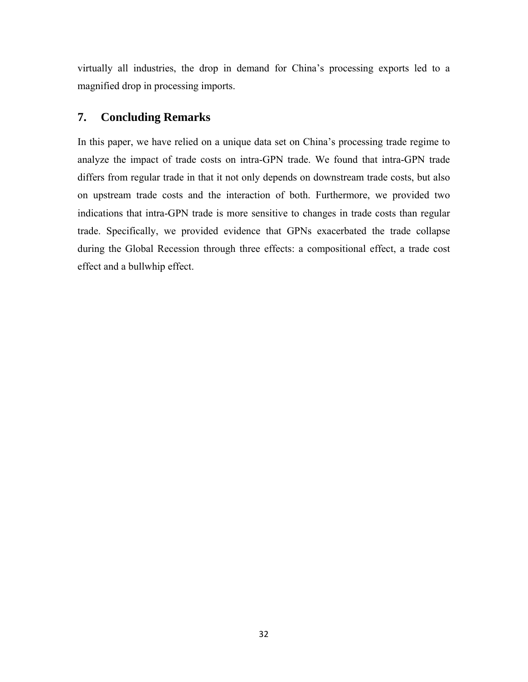virtually all industries, the drop in demand for China's processing exports led to a magnified drop in processing imports.

# **7. Concluding Remarks**

In this paper, we have relied on a unique data set on China's processing trade regime to analyze the impact of trade costs on intra-GPN trade. We found that intra-GPN trade differs from regular trade in that it not only depends on downstream trade costs, but also on upstream trade costs and the interaction of both. Furthermore, we provided two indications that intra-GPN trade is more sensitive to changes in trade costs than regular trade. Specifically, we provided evidence that GPNs exacerbated the trade collapse during the Global Recession through three effects: a compositional effect, a trade cost effect and a bullwhip effect.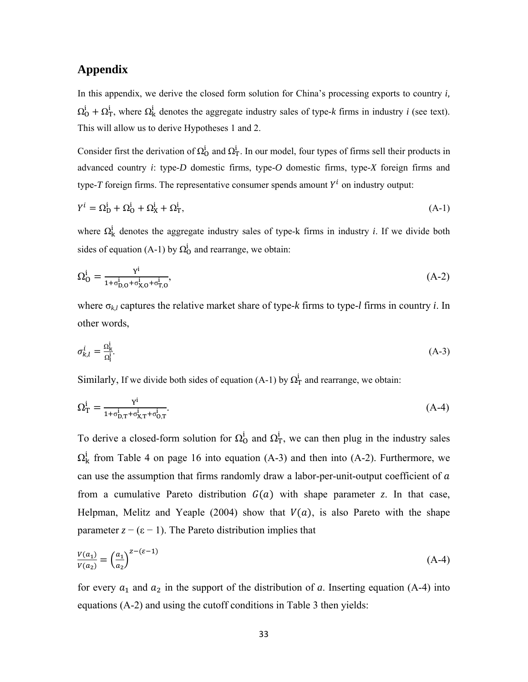### **Appendix**

In this appendix, we derive the closed form solution for China's processing exports to country *i,*   $\Omega_0^i + \Omega_T^i$ , where  $\Omega_k^i$  denotes the aggregate industry sales of type-*k* firms in industry *i* (see text). This will allow us to derive Hypotheses 1 and 2.

Consider first the derivation of  $\Omega_0^i$  and  $\Omega_T^i$ . In our model, four types of firms sell their products in advanced country *i*: type-*D* domestic firms, type-*O* domestic firms, type-*X* foreign firms and type- $T$  foreign firms. The representative consumer spends amount  $Y^i$  on industry output:

$$
Y^i = \Omega_{\mathcal{D}}^i + \Omega_{\mathcal{O}}^i + \Omega_{\mathcal{X}}^i + \Omega_{\mathcal{T}}^i,\tag{A-1}
$$

where  $\Omega_{\rm k}^{\rm i}$  denotes the aggregate industry sales of type-k firms in industry *i*. If we divide both sides of equation (A-1) by  $\Omega_0^i$  and rearrange, we obtain:

$$
\Omega_0^i = \frac{Y^i}{1 + \sigma_{D,0}^i + \sigma_{X,0}^i + \sigma_{T,0}^i},\tag{A-2}
$$

where  $\sigma_{k,l}$  captures the relative market share of type- $k$  firms to type- $l$  firms in country  $i$ . In other words,

$$
\sigma_{k,l}^i = \frac{\Omega_k^i}{\Omega_l^i}.\tag{A-3}
$$

Similarly, If we divide both sides of equation (A-1) by  $\Omega_T^i$  and rearrange, we obtain:

$$
\Omega_{\rm T}^{\rm i} = \frac{\mathbf{Y}^{\rm i}}{1 + \sigma_{\rm D,\rm T}^{\rm i} + \sigma_{\rm X,\rm T}^{\rm i} + \sigma_{\rm O,\rm T}^{\rm i}}.\tag{A-4}
$$

To derive a closed-form solution for  $\Omega_0^i$  and  $\Omega_T^i$ , we can then plug in the industry sales  $\Omega_{\rm k}^{\rm i}$  from Table 4 on page 16 into equation (A-3) and then into (A-2). Furthermore, we can use the assumption that firms randomly draw a labor-per-unit-output coefficient of  $\alpha$ from a cumulative Pareto distribution  $G(a)$  with shape parameter *z*. In that case, Helpman, Melitz and Yeaple (2004) show that  $V(a)$ , is also Pareto with the shape parameter  $z - (\epsilon - 1)$ . The Pareto distribution implies that

$$
\frac{V(a_1)}{V(a_2)} = \left(\frac{a_1}{a_2}\right)^{z - (\varepsilon - 1)}\tag{A-4}
$$

for every  $a_1$  and  $a_2$  in the support of the distribution of *a*. Inserting equation (A-4) into equations (A-2) and using the cutoff conditions in Table 3 then yields: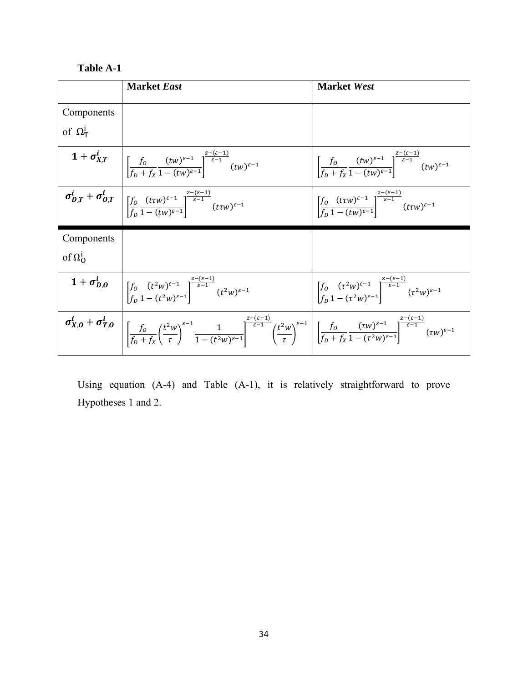# **Table A-1**

|                 | <b>Market East</b>                                                                                                                                                                                                                                                                                                                                                                                                                 | <b>Market West</b>                                                                                                                                                        |
|-----------------|------------------------------------------------------------------------------------------------------------------------------------------------------------------------------------------------------------------------------------------------------------------------------------------------------------------------------------------------------------------------------------------------------------------------------------|---------------------------------------------------------------------------------------------------------------------------------------------------------------------------|
| Components      |                                                                                                                                                                                                                                                                                                                                                                                                                                    |                                                                                                                                                                           |
| of $\Omega^1_T$ |                                                                                                                                                                                                                                                                                                                                                                                                                                    |                                                                                                                                                                           |
|                 | $1+\sigma_{X,T}^i \quad \bigg \,\bigg[\frac{f_0}{f_{\mathsf{n}}+f_{\mathsf{v}}}\frac{(tw)^{\varepsilon-1}}{1-(tw)^{\varepsilon-1}}\bigg]^{\frac{\varepsilon-(\mathsf{v}-\mathsf{s})}{\varepsilon-1}}(tw)^{\varepsilon-1}$                                                                                                                                                                                                          | $\bigg\  \frac{f_0}{f_D+f_x} \frac{(tw)^{\varepsilon-1}}{1-(tw)^{\varepsilon-1}} \bigg\ _{\varepsilon-1}^{\frac{-(v-\varepsilon)}{\varepsilon-1}} (tw)^{\varepsilon-1}$   |
|                 | $\sigma_{D,T}^i + \sigma_{O,T}^i \t\Bigg  \left[\frac{f_0}{f_{\sim}} \frac{(t\tau w)^{\varepsilon-1}}{1-(t w)^{\varepsilon-1}}\right]^{\frac{2-(\varepsilon-1)}{\varepsilon-1}} (t\tau w)^{\varepsilon-1}$                                                                                                                                                                                                                         | $\left  \int_{\frac{\epsilon}{\epsilon}}^{\infty} \frac{(t\tau w)^{\epsilon-1}}{1-(t\tau w)^{\epsilon-1}} \right ^{-\frac{\epsilon}{\epsilon-1}} (t\tau w)^{\epsilon-1}$  |
| Components      |                                                                                                                                                                                                                                                                                                                                                                                                                                    |                                                                                                                                                                           |
| of $\Omega^1_0$ |                                                                                                                                                                                                                                                                                                                                                                                                                                    |                                                                                                                                                                           |
|                 | $1+\sigma_{D,0}^i \quad \bigg  \left[\frac{f_0}{f} \frac{(t^2w)^{\varepsilon-1}}{1-(t^2w)^{\varepsilon-1}}\right]^{\frac{z-(\varepsilon-1)}{\varepsilon-1}} (t^2w)^{\varepsilon-1}$                                                                                                                                                                                                                                                | $\left  \int_{\frac{f}{f}} \frac{(\tau^2 w)^{\varepsilon-1}}{1 - (\tau^2 w)^{\varepsilon-1}} \right ^{\frac{2(\varepsilon-1)}{\varepsilon-1}} (\tau^2 w)^{\varepsilon-1}$ |
|                 | $\sigma_{X,0}^t + \sigma_{T,0}^t \left[ \frac{f_0}{f_0 + f_X} \left( \frac{t^2 w}{\tau} \right)^{\varepsilon-1} \frac{1}{1 - (t^2 w)^{\varepsilon-1}} \right]^{\frac{2-(\varepsilon-1)}{\varepsilon-1}} \left( \frac{t^2 w}{\tau} \right)^{\varepsilon-1} \left[ \frac{f_0}{f_0 + f_X} \frac{(\tau w)^{\varepsilon-1}}{1 - (\tau^2 w)^{\varepsilon-1}} \right]^{\frac{2-(\varepsilon-1)}{\varepsilon-1}} (\tau w)^{\varepsilon-1}$ |                                                                                                                                                                           |

Using equation (A-4) and Table (A-1), it is relatively straightforward to prove Hypotheses 1 and 2.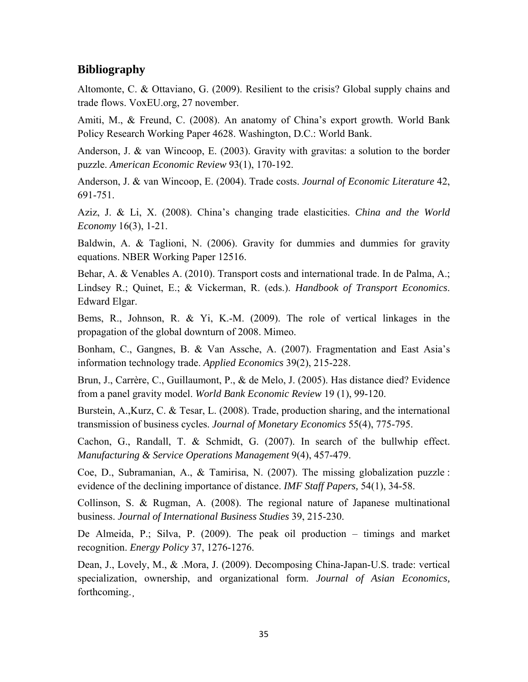# **Bibliography**

Altomonte, C. & Ottaviano, G. (2009). Resilient to the crisis? Global supply chains and trade flows. VoxEU.org, 27 november.

Amiti, M., & Freund, C. (2008). An anatomy of China's export growth. World Bank Policy Research Working Paper 4628. Washington, D.C.: World Bank.

Anderson, J. & van Wincoop, E. (2003). Gravity with gravitas: a solution to the border puzzle. *American Economic Review* 93(1), 170-192.

Anderson, J. & van Wincoop, E. (2004). Trade costs. *Journal of Economic Literature* 42, 691-751.

Aziz, J. & Li, X. (2008). China's changing trade elasticities. *China and the World Economy* 16(3), 1-21.

Baldwin, A. & Taglioni, N. (2006). Gravity for dummies and dummies for gravity equations. NBER Working Paper 12516.

Behar, A. & Venables A. (2010). Transport costs and international trade. In de Palma, A.; Lindsey R.; Quinet, E.; & Vickerman, R. (eds.). *Handbook of Transport Economics*. Edward Elgar.

Bems, R., Johnson, R. & Yi, K.-M. (2009). The role of vertical linkages in the propagation of the global downturn of 2008. Mimeo.

Bonham, C., Gangnes, B. & Van Assche, A. (2007). Fragmentation and East Asia's information technology trade. *Applied Economics* 39(2), 215-228.

Brun, J., Carrère, C., Guillaumont, P., & de Melo, J. (2005). Has distance died? Evidence from a panel gravity model. *World Bank Economic Review* 19 (1), 99-120.

Burstein, A.,Kurz, C. & Tesar, L. (2008). Trade, production sharing, and the international transmission of business cycles. *Journal of Monetary Economics* 55(4), 775-795.

Cachon, G., Randall, T. & Schmidt, G. (2007). In search of the bullwhip effect. *Manufacturing & Service Operations Management* 9(4), 457-479.

Coe, D., Subramanian, A., & Tamirisa, N. (2007). The missing globalization puzzle : evidence of the declining importance of distance. *IMF Staff Papers,* 54(1), 34-58.

Collinson, S. & Rugman, A. (2008). The regional nature of Japanese multinational business. *Journal of International Business Studies* 39, 215-230.

De Almeida, P.; Silva, P. (2009). The peak oil production – timings and market recognition. *Energy Policy* 37, 1276-1276.

Dean, J., Lovely, M., & .Mora, J. (2009). Decomposing China-Japan-U.S. trade: vertical specialization, ownership, and organizational form. *Journal of Asian Economics,*  forthcoming.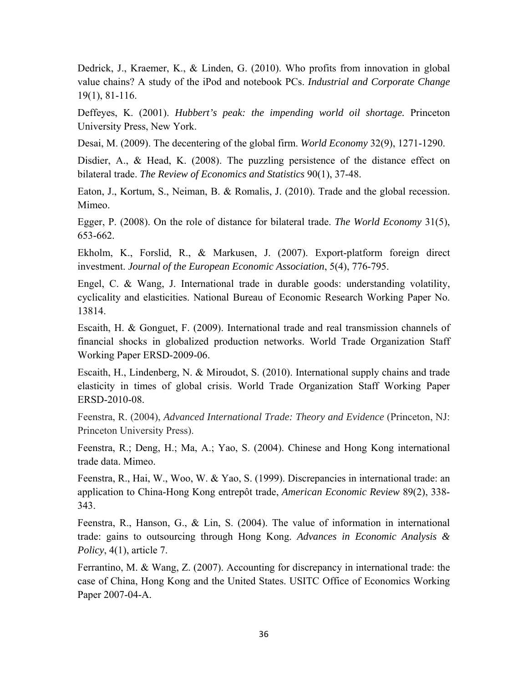Dedrick, J., Kraemer, K., & Linden, G. (2010). Who profits from innovation in global value chains? A study of the iPod and notebook PCs. *Industrial and Corporate Change*  19(1), 81-116.

Deffeyes, K. (2001). *Hubbert's peak: the impending world oil shortage.* Princeton University Press, New York.

Desai, M. (2009). The decentering of the global firm. *World Economy* 32(9), 1271-1290.

Disdier, A., & Head, K. (2008). The puzzling persistence of the distance effect on bilateral trade. *The Review of Economics and Statistics* 90(1), 37-48.

Eaton, J., Kortum, S., Neiman, B. & Romalis, J. (2010). Trade and the global recession. Mimeo.

Egger, P. (2008). On the role of distance for bilateral trade. *The World Economy* 31(5), 653-662.

Ekholm, K., Forslid, R., & Markusen, J. (2007). Export-platform foreign direct investment. *Journal of the European Economic Association*, 5(4), 776-795.

Engel, C. & Wang, J. International trade in durable goods: understanding volatility, cyclicality and elasticities. National Bureau of Economic Research Working Paper No. 13814.

Escaith, H. & Gonguet, F. (2009). International trade and real transmission channels of financial shocks in globalized production networks. World Trade Organization Staff Working Paper ERSD-2009-06.

Escaith, H., Lindenberg, N. & Miroudot, S. (2010). International supply chains and trade elasticity in times of global crisis. World Trade Organization Staff Working Paper ERSD-2010-08.

Feenstra, R. (2004), *Advanced International Trade: Theory and Evidence* (Princeton, NJ: Princeton University Press).

Feenstra, R.; Deng, H.; Ma, A.; Yao, S. (2004). Chinese and Hong Kong international trade data. Mimeo.

Feenstra, R., Hai, W., Woo, W. & Yao, S. (1999). Discrepancies in international trade: an application to China-Hong Kong entrepôt trade, *American Economic Review* 89(2), 338- 343.

Feenstra, R., Hanson, G., & Lin, S. (2004). The value of information in international trade: gains to outsourcing through Hong Kong. *Advances in Economic Analysis & Policy*, 4(1), article 7.

Ferrantino, M. & Wang, Z. (2007). Accounting for discrepancy in international trade: the case of China, Hong Kong and the United States. USITC Office of Economics Working Paper 2007-04-A.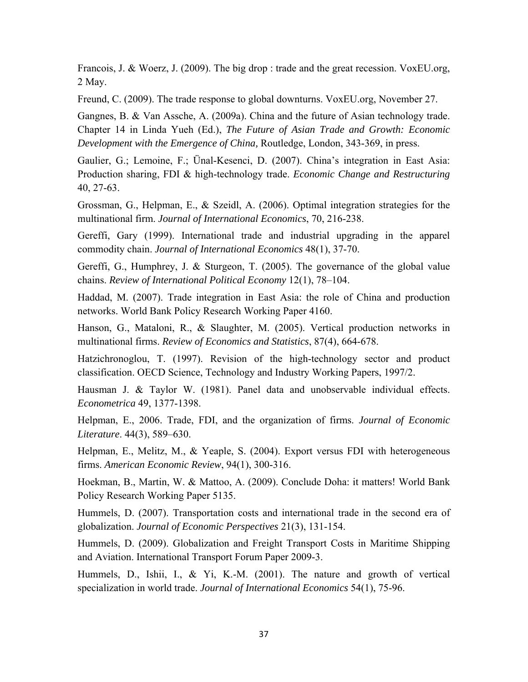Francois, J. & Woerz, J. (2009). The big drop : trade and the great recession. VoxEU.org, 2 May.

Freund, C. (2009). The trade response to global downturns. VoxEU.org, November 27.

Gangnes, B. & Van Assche, A. (2009a). China and the future of Asian technology trade. Chapter 14 in Linda Yueh (Ed.), *The Future of Asian Trade and Growth: Economic Development with the Emergence of China,* Routledge, London, 343-369, in press.

Gaulier, G.; Lemoine, F.; Ünal-Kesenci, D. (2007). China's integration in East Asia: Production sharing, FDI & high-technology trade. *Economic Change and Restructuring*  40, 27-63.

Grossman, G., Helpman, E., & Szeidl, A. (2006). Optimal integration strategies for the multinational firm. *Journal of International Economics*, 70, 216-238.

Gereffi, Gary (1999). International trade and industrial upgrading in the apparel commodity chain. *Journal of International Economics* 48(1), 37-70.

Gereffi, G., Humphrey, J. & Sturgeon, T. (2005). The governance of the global value chains. *Review of International Political Economy* 12(1), 78–104.

Haddad, M. (2007). Trade integration in East Asia: the role of China and production networks. World Bank Policy Research Working Paper 4160.

Hanson, G., Mataloni, R., & Slaughter, M. (2005). Vertical production networks in multinational firms. *Review of Economics and Statistics*, 87(4), 664-678.

Hatzichronoglou, T. (1997). Revision of the high-technology sector and product classification. OECD Science, Technology and Industry Working Papers, 1997/2.

Hausman J. & Taylor W. (1981). Panel data and unobservable individual effects. *Econometrica* 49, 1377-1398.

Helpman, E., 2006. Trade, FDI, and the organization of firms. *Journal of Economic Literature*. 44(3), 589–630.

Helpman, E., Melitz, M., & Yeaple, S. (2004). Export versus FDI with heterogeneous firms. *American Economic Review*, 94(1), 300-316.

Hoekman, B., Martin, W. & Mattoo, A. (2009). Conclude Doha: it matters! World Bank Policy Research Working Paper 5135.

Hummels, D. (2007). Transportation costs and international trade in the second era of globalization. *Journal of Economic Perspectives* 21(3), 131-154.

Hummels, D. (2009). Globalization and Freight Transport Costs in Maritime Shipping and Aviation. International Transport Forum Paper 2009-3.

Hummels, D., Ishii, I., & Yi, K.-M. (2001). The nature and growth of vertical specialization in world trade. *Journal of International Economics* 54(1), 75-96.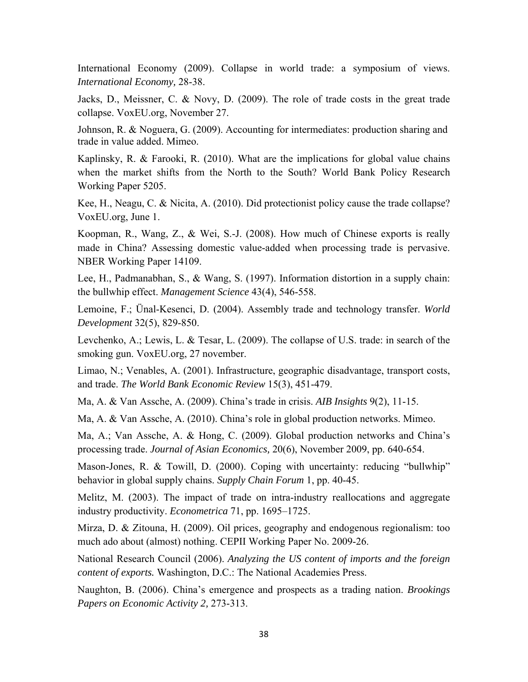International Economy (2009). Collapse in world trade: a symposium of views. *International Economy,* 28-38.

Jacks, D., Meissner, C. & Novy, D. (2009). The role of trade costs in the great trade collapse. VoxEU.org, November 27.

Johnson, R. & Noguera, G. (2009). Accounting for intermediates: production sharing and trade in value added. Mimeo.

Kaplinsky, R. & Farooki, R. (2010). What are the implications for global value chains when the market shifts from the North to the South? World Bank Policy Research Working Paper 5205.

Kee, H., Neagu, C. & Nicita, A. (2010). Did protectionist policy cause the trade collapse? VoxEU.org, June 1.

Koopman, R., Wang, Z., & Wei, S.-J. (2008). How much of Chinese exports is really made in China? Assessing domestic value-added when processing trade is pervasive. NBER Working Paper 14109.

Lee, H., Padmanabhan, S., & Wang, S. (1997). Information distortion in a supply chain: the bullwhip effect. *Management Science* 43(4), 546-558.

Lemoine, F.; Ünal-Kesenci, D. (2004). Assembly trade and technology transfer. *World Development* 32(5), 829-850.

Levchenko, A.; Lewis, L. & Tesar, L. (2009). The collapse of U.S. trade: in search of the smoking gun. VoxEU.org, 27 november.

Limao, N.; Venables, A. (2001). Infrastructure, geographic disadvantage, transport costs, and trade. *The World Bank Economic Review* 15(3), 451-479.

Ma, A. & Van Assche, A. (2009). China's trade in crisis. *AIB Insights* 9(2), 11-15.

Ma, A. & Van Assche, A. (2010). China's role in global production networks. Mimeo.

Ma, A.; Van Assche, A. & Hong, C. (2009). Global production networks and China's processing trade. *Journal of Asian Economics,* 20(6), November 2009, pp. 640-654.

Mason-Jones, R. & Towill, D. (2000). Coping with uncertainty: reducing "bullwhip" behavior in global supply chains. *Supply Chain Forum* 1, pp. 40-45.

Melitz, M. (2003). The impact of trade on intra-industry reallocations and aggregate industry productivity. *Econometrica* 71, pp. 1695–1725.

Mirza, D. & Zitouna, H. (2009). Oil prices, geography and endogenous regionalism: too much ado about (almost) nothing. CEPII Working Paper No. 2009-26.

National Research Council (2006). *Analyzing the US content of imports and the foreign content of exports.* Washington, D.C.: The National Academies Press.

Naughton, B. (2006). China's emergence and prospects as a trading nation. *Brookings Papers on Economic Activity 2,* 273-313.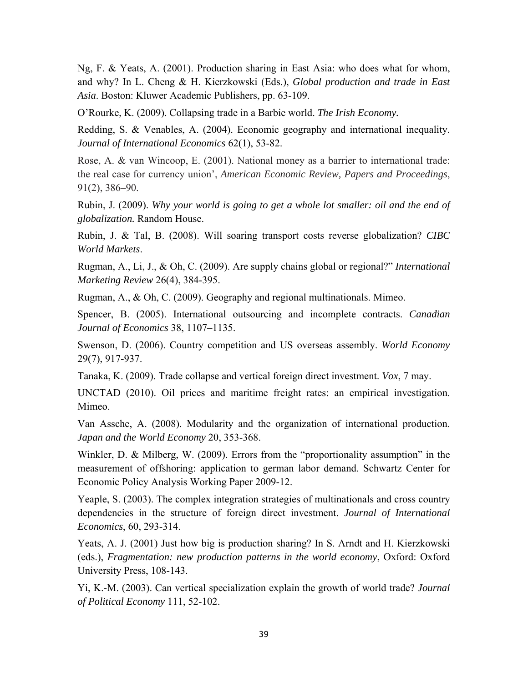Ng, F. & Yeats, A. (2001). Production sharing in East Asia: who does what for whom, and why? In L. Cheng & H. Kierzkowski (Eds.), *Global production and trade in East Asia*. Boston: Kluwer Academic Publishers, pp. 63-109.

O'Rourke, K. (2009). Collapsing trade in a Barbie world. *The Irish Economy.* 

Redding, S. & Venables, A. (2004). Economic geography and international inequality. *Journal of International Economics* 62(1), 53-82.

Rose, A. & van Wincoop, E. (2001). National money as a barrier to international trade: the real case for currency union', *American Economic Review, Papers and Proceedings*, 91(2), 386–90.

Rubin, J. (2009). *Why your world is going to get a whole lot smaller: oil and the end of globalization.* Random House.

Rubin, J. & Tal, B. (2008). Will soaring transport costs reverse globalization? *CIBC World Markets*.

Rugman, A., Li, J., & Oh, C. (2009). Are supply chains global or regional?" *International Marketing Review* 26(4), 384-395.

Rugman, A., & Oh, C. (2009). Geography and regional multinationals. Mimeo.

Spencer, B. (2005). International outsourcing and incomplete contracts. *Canadian Journal of Economics* 38, 1107–1135.

Swenson, D. (2006). Country competition and US overseas assembly. *World Economy*  29(7), 917-937.

Tanaka, K. (2009). Trade collapse and vertical foreign direct investment. *Vox*, 7 may.

UNCTAD (2010). Oil prices and maritime freight rates: an empirical investigation. Mimeo.

Van Assche, A. (2008). Modularity and the organization of international production. *Japan and the World Economy* 20, 353-368.

Winkler, D. & Milberg, W. (2009). Errors from the "proportionality assumption" in the measurement of offshoring: application to german labor demand. Schwartz Center for Economic Policy Analysis Working Paper 2009-12.

Yeaple, S. (2003). The complex integration strategies of multinationals and cross country dependencies in the structure of foreign direct investment. *Journal of International Economics*, 60, 293-314.

Yeats, A. J. (2001) Just how big is production sharing? In S. Arndt and H. Kierzkowski (eds.), *Fragmentation: new production patterns in the world economy*, Oxford: Oxford University Press, 108-143.

Yi, K.-M. (2003). Can vertical specialization explain the growth of world trade? *Journal of Political Economy* 111, 52-102.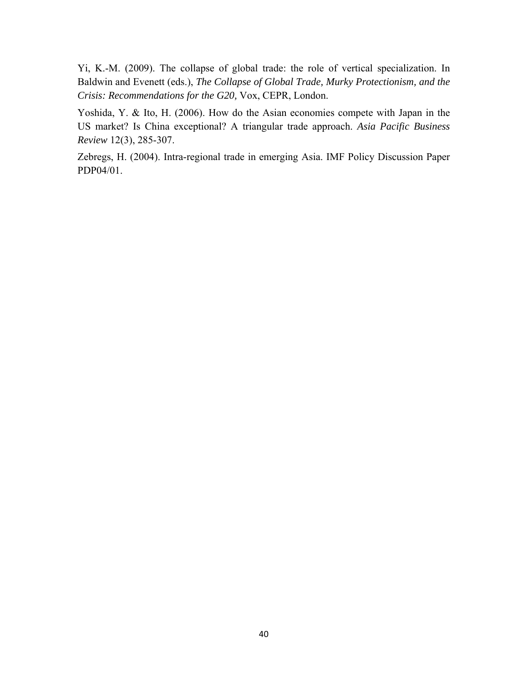Yi, K.-M. (2009). The collapse of global trade: the role of vertical specialization. In Baldwin and Evenett (eds.), *The Collapse of Global Trade, Murky Protectionism, and the Crisis: Recommendations for the G20,* Vox, CEPR, London.

Yoshida, Y. & Ito, H. (2006). How do the Asian economies compete with Japan in the US market? Is China exceptional? A triangular trade approach. *Asia Pacific Business Review* 12(3), 285-307.

Zebregs, H. (2004). Intra-regional trade in emerging Asia. IMF Policy Discussion Paper PDP04/01.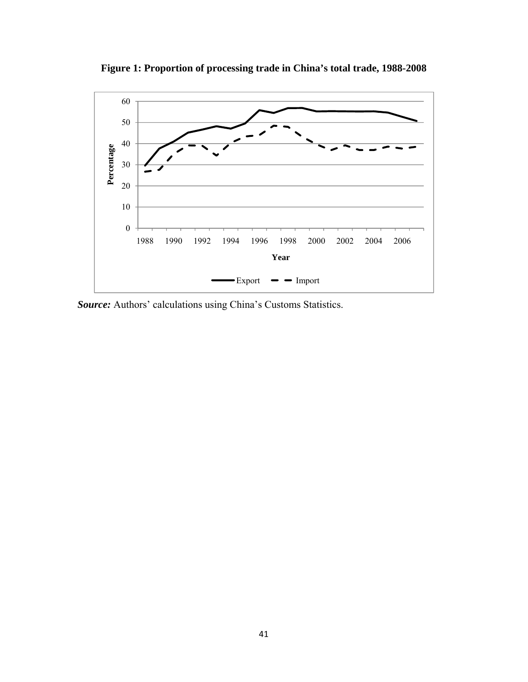

**Figure 1: Proportion of processing trade in China's total trade, 1988-2008** 

*Source:* Authors' calculations using China's Customs Statistics.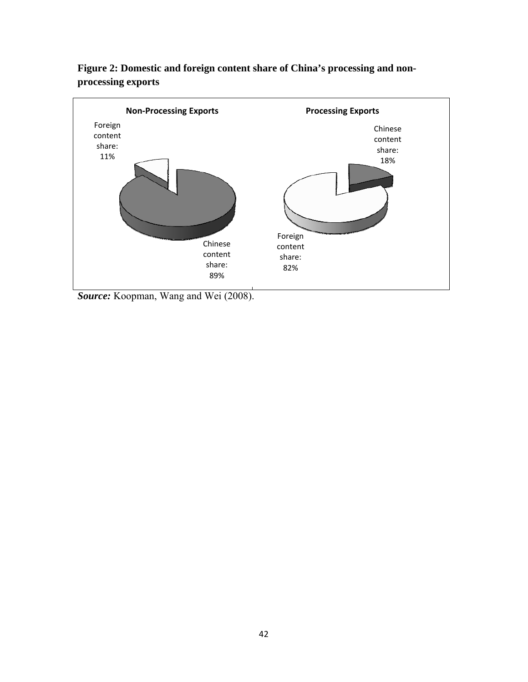

**Figure 2: Domestic and foreign content share of China's processing and nonprocessing exports** 

*Source:* Koopman, Wang and Wei (2008).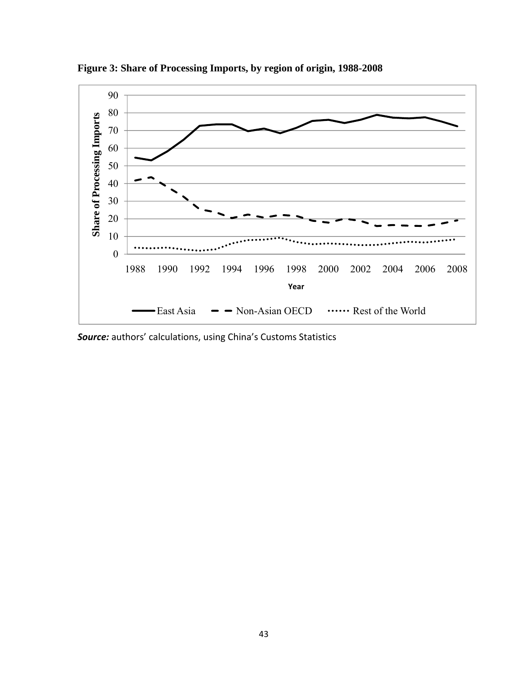

**Figure 3: Share of Processing Imports, by region of origin, 1988-2008** 

*Source:* authors' calculations, using China's Customs Statistics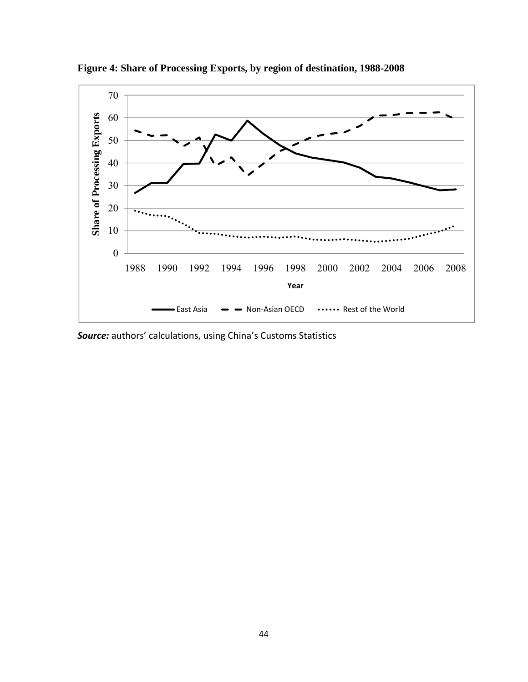

**Figure 4: Share of Processing Exports, by region of destination, 1988-2008** 

*Source:* authors' calculations, using China's Customs Statistics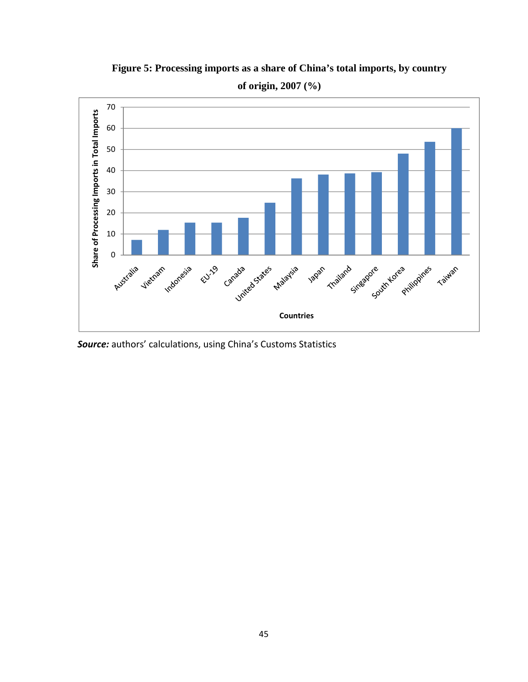

**Figure 5: Processing imports as a share of China's total imports, by country** 

*Source:* authors' calculations, using China's Customs Statistics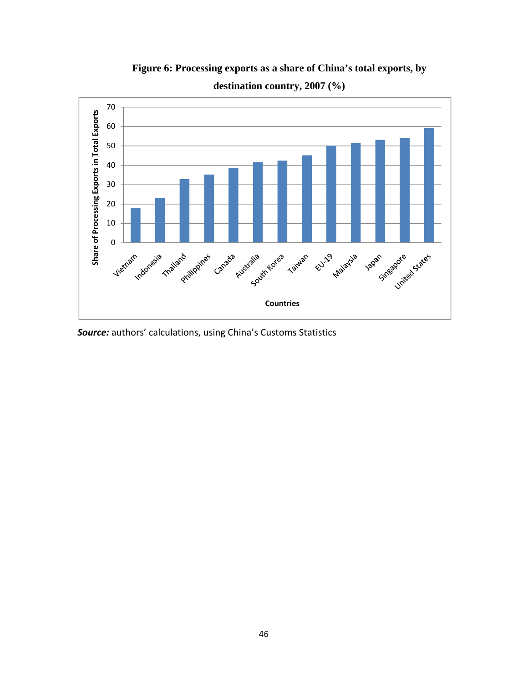

**Figure 6: Processing exports as a share of China's total exports, by destination country, 2007 (%)** 

*Source:* authors' calculations, using China's Customs Statistics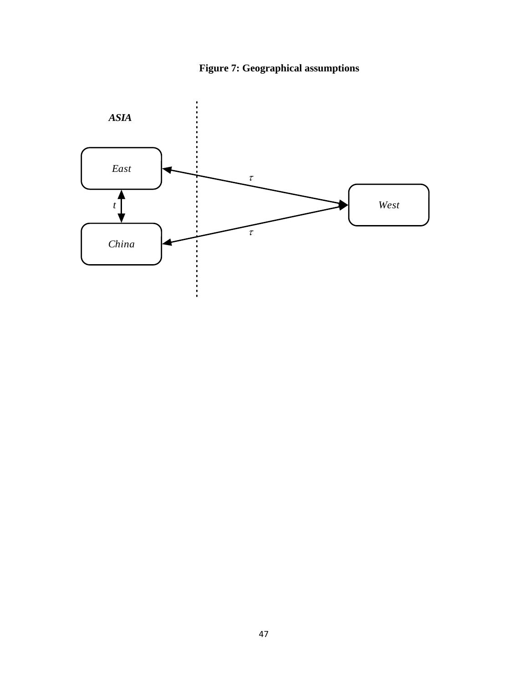

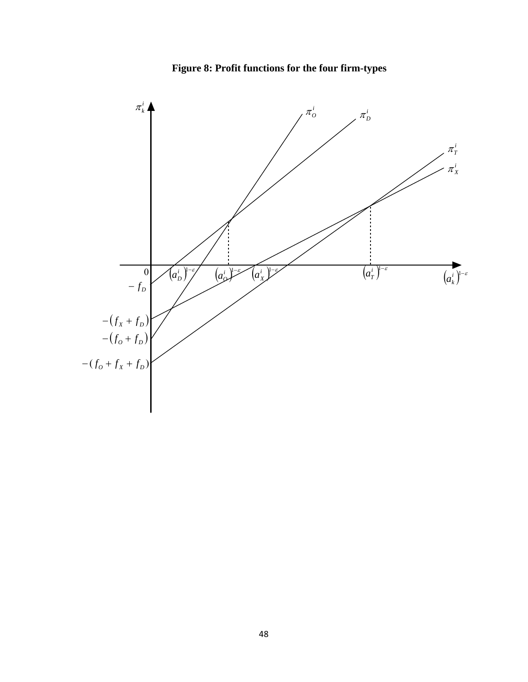**Figure 8: Profit functions for the four firm-types** 

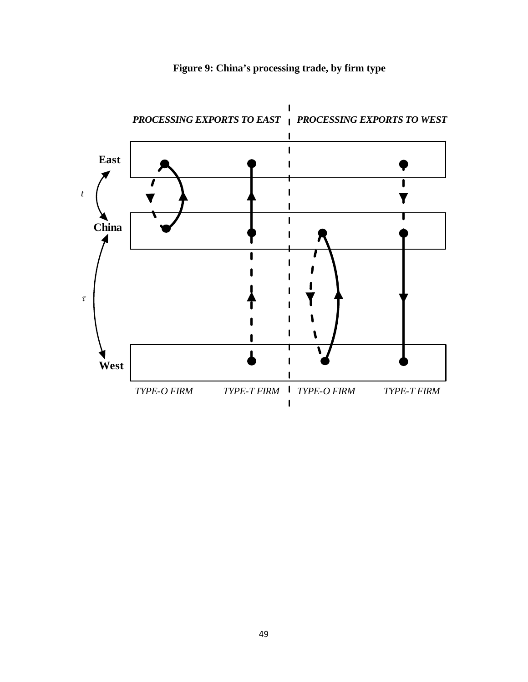

**Figure 9: China's processing trade, by firm type**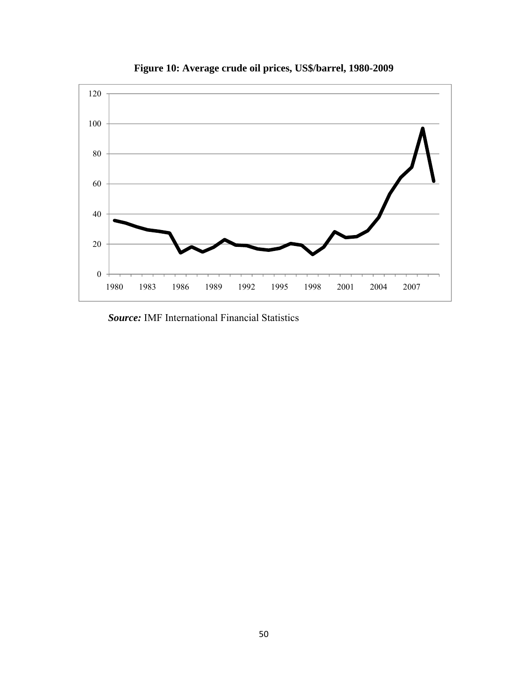

**Figure 10: Average crude oil prices, US\$/barrel, 1980-2009** 

*Source:* IMF International Financial Statistics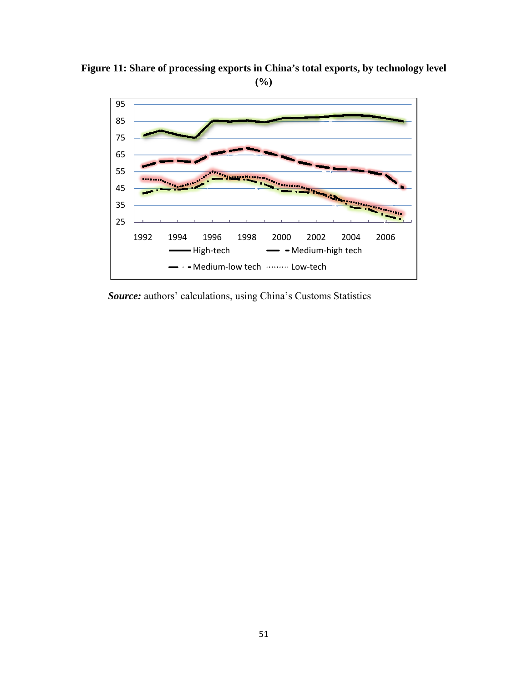**Figure 11: Share of processing exports in China's total exports, by technology level (%)** 



*Source:* authors' calculations, using China's Customs Statistics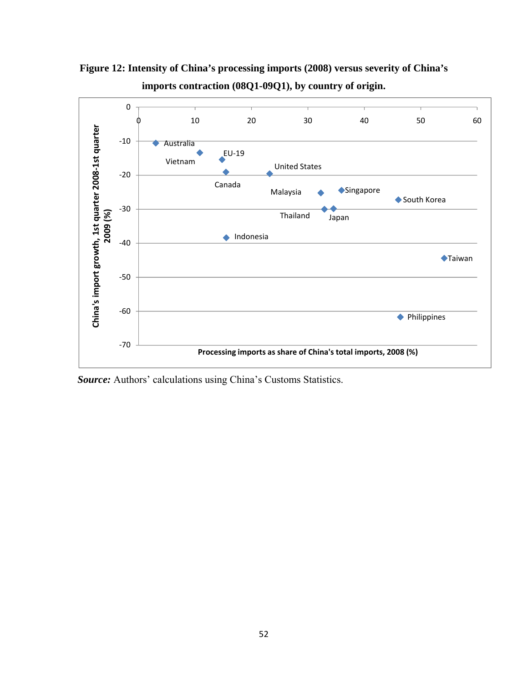

**Figure 12: Intensity of China's processing imports (2008) versus severity of China's imports contraction (08Q1-09Q1), by country of origin.** 

*Source:* Authors' calculations using China's Customs Statistics.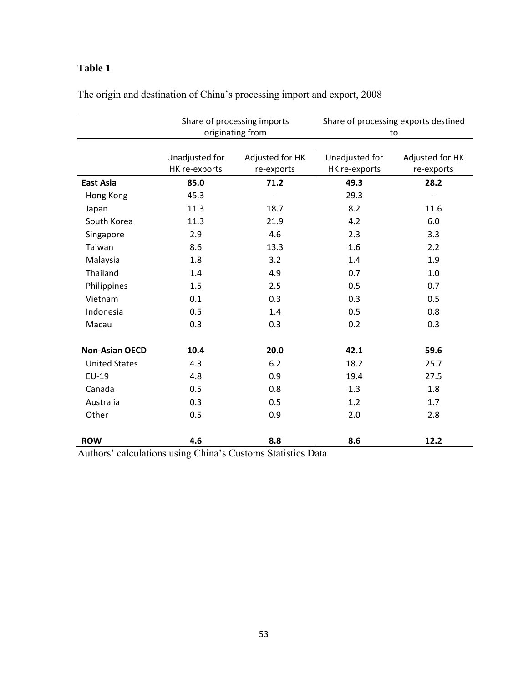# **Table 1**

|                       |                                 | Share of processing imports   | Share of processing exports destined |                               |  |
|-----------------------|---------------------------------|-------------------------------|--------------------------------------|-------------------------------|--|
|                       | originating from                |                               | to                                   |                               |  |
|                       | Unadjusted for<br>HK re-exports | Adjusted for HK<br>re-exports | Unadjusted for<br>HK re-exports      | Adjusted for HK<br>re-exports |  |
| <b>East Asia</b>      | 85.0                            | 71.2                          | 49.3                                 | 28.2                          |  |
| Hong Kong             | 45.3                            |                               | 29.3                                 |                               |  |
| Japan                 | 11.3                            | 18.7                          | 8.2                                  | 11.6                          |  |
| South Korea           | 11.3                            | 21.9                          | 4.2                                  | 6.0                           |  |
| Singapore             | 2.9                             | 4.6                           | 2.3                                  | 3.3                           |  |
| Taiwan                | 8.6                             | 13.3                          | 1.6                                  | 2.2                           |  |
| Malaysia              | 1.8                             | 3.2                           | 1.4                                  | 1.9                           |  |
| Thailand              | 1.4                             | 4.9                           | 0.7                                  | $1.0\,$                       |  |
| Philippines           | 1.5                             | 2.5                           | 0.5                                  | 0.7                           |  |
| Vietnam               | 0.1                             | 0.3                           | 0.3                                  | 0.5                           |  |
| Indonesia             | 0.5                             | 1.4                           | 0.5                                  | 0.8                           |  |
| Macau                 | 0.3                             | 0.3                           | 0.2                                  | 0.3                           |  |
| <b>Non-Asian OECD</b> | 10.4                            | 20.0                          | 42.1                                 | 59.6                          |  |
| <b>United States</b>  | 4.3                             | 6.2                           | 18.2                                 | 25.7                          |  |
| EU-19                 | 4.8                             | 0.9                           | 19.4                                 | 27.5                          |  |
| Canada                | 0.5                             | 0.8                           | 1.3                                  | 1.8                           |  |
| Australia             | 0.3                             | 0.5                           | 1.2                                  | 1.7                           |  |
| Other                 | 0.5                             | 0.9                           | 2.0                                  | 2.8                           |  |
| <b>ROW</b>            | 4.6                             | 8.8                           | 8.6                                  | 12.2                          |  |

The origin and destination of China's processing import and export, 2008

Authors' calculations using China's Customs Statistics Data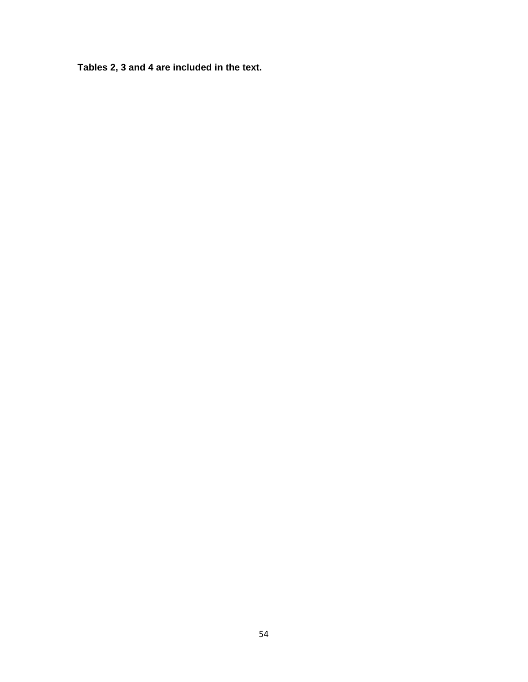**Tables 2, 3 and 4 are included in the text.**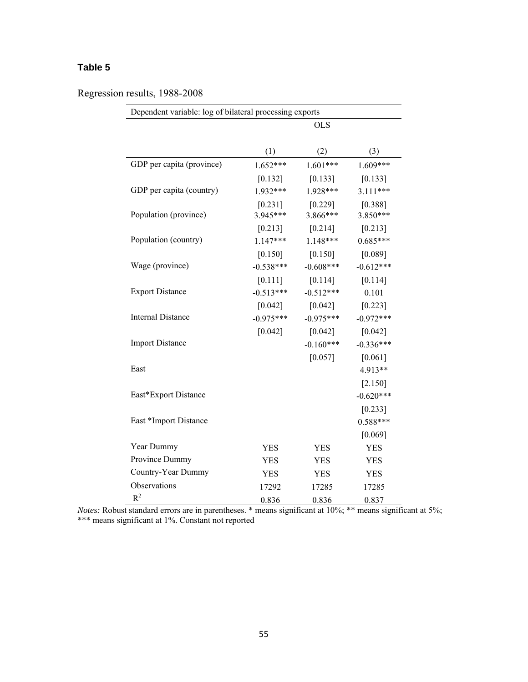# **Table 5**

Regression results, 1988-2008

| Dependent variable: log of bilateral processing exports |                       |                       |                     |  |  |  |
|---------------------------------------------------------|-----------------------|-----------------------|---------------------|--|--|--|
|                                                         |                       | <b>OLS</b>            |                     |  |  |  |
|                                                         | (1)                   | (2)                   | (3)                 |  |  |  |
| GDP per capita (province)                               | $1.652***$            | $1.601***$            | $1.609***$          |  |  |  |
|                                                         | $[0.132]$             | [0.133]               | [0.133]             |  |  |  |
| GDP per capita (country)                                | 1.932***              | 1.928***              | $3.111***$          |  |  |  |
| Population (province)                                   | $[0.231]$<br>3.945*** | $[0.229]$<br>3.866*** | [0.388]<br>3.850*** |  |  |  |
|                                                         | $[0.213]$             | $[0.214]$             | $[0.213]$           |  |  |  |
| Population (country)                                    | $1.147***$            | $1.148***$            | $0.685***$          |  |  |  |
|                                                         | $[0.150]$             | $[0.150]$             | [0.089]             |  |  |  |
| Wage (province)                                         | $-0.538***$           | $-0.608***$           | $-0.612***$         |  |  |  |
|                                                         | $[0.111]$             | $[0.114]$             | [0.114]             |  |  |  |
| <b>Export Distance</b>                                  | $-0.513***$           | $-0.512***$           | 0.101               |  |  |  |
|                                                         | $[0.042]$             | $[0.042]$             | $[0.223]$           |  |  |  |
| Internal Distance                                       | $-0.975***$           | $-0.975***$           | $-0.972***$         |  |  |  |
|                                                         | $[0.042]$             | [0.042]               | $[0.042]$           |  |  |  |
| <b>Import Distance</b>                                  |                       | $-0.160***$           | $-0.336***$         |  |  |  |
|                                                         |                       | $[0.057]$             | $[0.061]$           |  |  |  |
| East                                                    |                       |                       | 4.913**             |  |  |  |
|                                                         |                       |                       | $[2.150]$           |  |  |  |
| East*Export Distance                                    |                       |                       | $-0.620***$         |  |  |  |
|                                                         |                       |                       | $[0.233]$           |  |  |  |
| East *Import Distance                                   |                       |                       | $0.588***$          |  |  |  |
|                                                         |                       |                       | [0.069]             |  |  |  |
| Year Dummy                                              | <b>YES</b>            | <b>YES</b>            | <b>YES</b>          |  |  |  |
| Province Dummy                                          | <b>YES</b>            | <b>YES</b>            | <b>YES</b>          |  |  |  |
| Country-Year Dummy                                      | <b>YES</b>            | <b>YES</b>            | <b>YES</b>          |  |  |  |
| Observations                                            | 17292                 | 17285                 | 17285               |  |  |  |
| $R^2$                                                   | 0.836                 | 0.836                 | 0.837               |  |  |  |

*Notes:* Robust standard errors are in parentheses. \* means significant at 10%; \*\* means significant at 5%; \*\*\* means significant at 1%. Constant not reported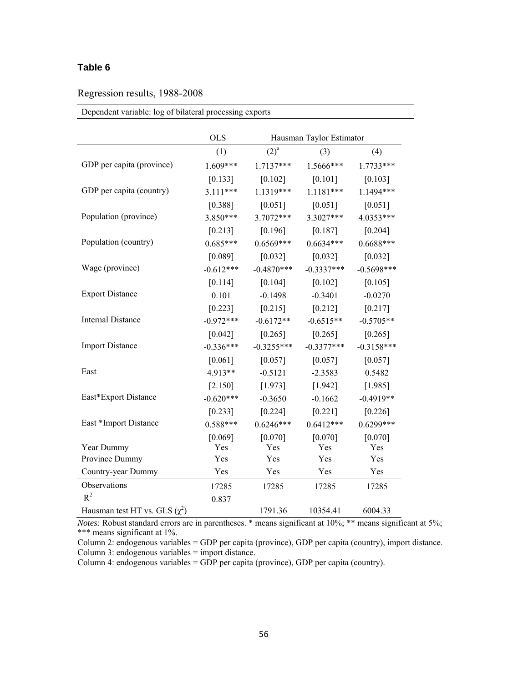### **Table 6**

### Regression results, 1988-2008

|                                    | <b>OLS</b>  |              | Hausman Taylor Estimator |              |
|------------------------------------|-------------|--------------|--------------------------|--------------|
|                                    | (1)         | $(2)^a$      | (3)                      | (4)          |
| GDP per capita (province)          | 1.609***    | 1.7137***    | 1.5666***                | $1.7733***$  |
|                                    | $[0.133]$   | $[0.102]$    | $[0.101]$                | [0.103]      |
| GDP per capita (country)           | $3.111***$  | 1.1319***    | $1.1181***$              | 1.1494***    |
|                                    | [0.388]     | $[0.051]$    | $[0.051]$                | $[0.051]$    |
| Population (province)              | $3.850***$  | 3.7072***    | 3.3027***                | 4.0353***    |
|                                    | $[0.213]$   | [0.196]      | $[0.187]$                | $[0.204]$    |
| Population (country)               | $0.685***$  | $0.6569***$  | $0.6634***$              | $0.6688***$  |
|                                    | [0.089]     | $[0.032]$    | $[0.032]$                | [0.032]      |
| Wage (province)                    | $-0.612***$ | $-0.4870***$ | $-0.3337***$             | $-0.5698***$ |
|                                    | $[0.114]$   | [0.104]      | $[0.102]$                | [0.105]      |
| <b>Export Distance</b>             | 0.101       | $-0.1498$    | $-0.3401$                | $-0.0270$    |
|                                    | $[0.223]$   | $[0.215]$    | $[0.212]$                | [0.217]      |
| <b>Internal Distance</b>           | $-0.972***$ | $-0.6172**$  | $-0.6515**$              | $-0.5705**$  |
|                                    | $[0.042]$   | $[0.265]$    | $[0.265]$                | $[0.265]$    |
| <b>Import Distance</b>             | $-0.336***$ | $-0.3255***$ | $-0.3377***$             | $-0.3158***$ |
|                                    | $[0.061]$   | [0.057]      | [0.057]                  | [0.057]      |
| East                               | 4.913**     | $-0.5121$    | $-2.3583$                | 0.5482       |
|                                    | $[2.150]$   | [1.973]      | [1.942]                  | [1.985]      |
| East*Export Distance               | $-0.620***$ | $-0.3650$    | $-0.1662$                | $-0.4919**$  |
|                                    | $[0.233]$   | $[0.224]$    | $[0.221]$                | [0.226]      |
| East *Import Distance              | $0.588***$  | $0.6246***$  | $0.6412***$              | $0.6299***$  |
|                                    | [0.069]     | [0.070]      | [0.070]                  | [0.070]      |
| Year Dummy                         | Yes         | Yes          | Yes                      | Yes          |
| Province Dummy                     | Yes         | Yes          | Yes                      | Yes          |
| Country-year Dummy                 | Yes         | Yes          | Yes                      | Yes          |
| <b>Observations</b>                | 17285       | 17285        | 17285                    | 17285        |
| $R^2$                              | 0.837       |              |                          |              |
| Hausman test HT vs. GLS $(\chi^2)$ |             | 1791.36      | 10354.41                 | 6004.33      |

#### Dependent variable: log of bilateral processing exports

*Notes:* Robust standard errors are in parentheses. \* means significant at 10%; \*\* means significant at 5%; \*\*\* means significant at 1%.

Column 2: endogenous variables = GDP per capita (province), GDP per capita (country), import distance. Column 3: endogenous variables = import distance.

Column 4: endogenous variables = GDP per capita (province), GDP per capita (country).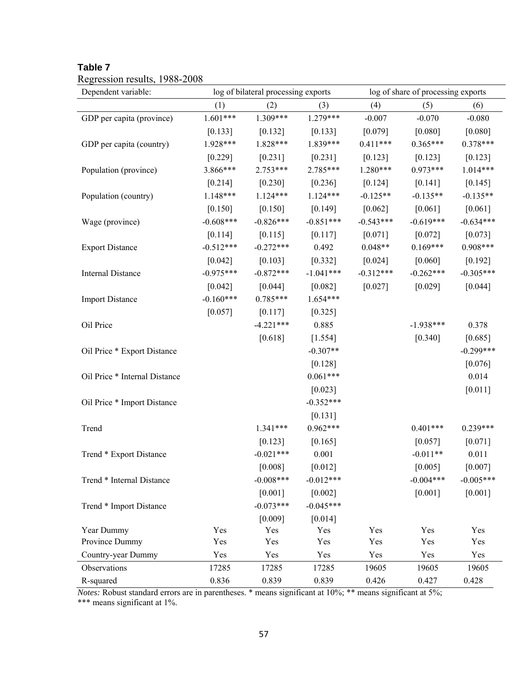| Table |  |
|-------|--|
|-------|--|

| Dependent variable:           | log of bilateral processing exports |             |             | log of share of processing exports |             |             |
|-------------------------------|-------------------------------------|-------------|-------------|------------------------------------|-------------|-------------|
|                               | (1)                                 | (2)         | (3)         | (4)                                | (5)         | (6)         |
| GDP per capita (province)     | $1.601***$                          | 1.309***    | $1.279***$  | $-0.007$                           | $-0.070$    | $-0.080$    |
|                               | $[0.133]$                           | $[0.132]$   | [0.133]     | [0.079]                            | [0.080]     | [0.080]     |
| GDP per capita (country)      | 1.928***                            | $1.828***$  | 1.839***    | $0.411***$                         | $0.365***$  | $0.378***$  |
|                               | $[0.229]$                           | $[0.231]$   | $[0.231]$   | $[0.123]$                          | $[0.123]$   | $[0.123]$   |
| Population (province)         | 3.866***                            | $2.753***$  | 2.785***    | $1.280***$                         | $0.973***$  | $1.014***$  |
|                               | $[0.214]$                           | [0.230]     | [0.236]     | [0.124]                            | [0.141]     | [0.145]     |
| Population (country)          | $1.148***$                          | $1.124***$  | $1.124***$  | $-0.125**$                         | $-0.135**$  | $-0.135**$  |
|                               | $[0.150]$                           | [0.150]     | [0.149]     | $[0.062]$                          | [0.061]     | $[0.061]$   |
| Wage (province)               | $-0.608***$                         | $-0.826***$ | $-0.851***$ | $-0.543***$                        | $-0.619***$ | $-0.634***$ |
|                               | [0.114]                             | [0.115]     | [0.117]     | $[0.071]$                          | $[0.072]$   | $[0.073]$   |
| <b>Export Distance</b>        | $-0.512***$                         | $-0.272***$ | 0.492       | $0.048**$                          | $0.169***$  | 0.908***    |
|                               | $[0.042]$                           | [0.103]     | [0.332]     | [0.024]                            | $[0.060]$   | $[0.192]$   |
| <b>Internal Distance</b>      | $-0.975***$                         | $-0.872***$ | $-1.041***$ | $-0.312***$                        | $-0.262***$ | $-0.305***$ |
|                               | $[0.042]$                           | $[0.044]$   | $[0.082]$   | $[0.027]$                          | $[0.029]$   | [0.044]     |
| <b>Import Distance</b>        | $-0.160***$                         | $0.785***$  | $1.654***$  |                                    |             |             |
|                               | $[0.057]$                           | [0.117]     | [0.325]     |                                    |             |             |
| Oil Price                     |                                     | $-4.221***$ | 0.885       |                                    | $-1.938***$ | 0.378       |
|                               |                                     | [0.618]     | [1.554]     |                                    | $[0.340]$   | [0.685]     |
| Oil Price * Export Distance   |                                     |             | $-0.307**$  |                                    |             | $-0.299***$ |
|                               |                                     |             | [0.128]     |                                    |             | [0.076]     |
| Oil Price * Internal Distance |                                     |             | $0.061***$  |                                    |             | 0.014       |
|                               |                                     |             | $[0.023]$   |                                    |             | $[0.011]$   |
| Oil Price * Import Distance   |                                     |             | $-0.352***$ |                                    |             |             |
|                               |                                     |             | $[0.131]$   |                                    |             |             |
| Trend                         |                                     | $1.341***$  | $0.962***$  |                                    | $0.401***$  | $0.239***$  |
|                               |                                     | $[0.123]$   | [0.165]     |                                    | [0.057]     | $[0.071]$   |
| Trend * Export Distance       |                                     | $-0.021***$ | 0.001       |                                    | $-0.011**$  | 0.011       |
|                               |                                     | [0.008]     | [0.012]     |                                    | [0.005]     | [0.007]     |
| Trend * Internal Distance     |                                     | $-0.008***$ | $-0.012***$ |                                    | $-0.004***$ | $-0.005***$ |
|                               |                                     | [0.001]     | [0.002]     |                                    | [0.001]     | [0.001]     |
| Trend * Import Distance       |                                     | $-0.073***$ | $-0.045***$ |                                    |             |             |
|                               |                                     | [0.009]     | [0.014]     |                                    |             |             |
| Year Dummy                    | Yes                                 | Yes         | Yes         | Yes                                | Yes         | Yes         |
| Province Dummy                | Yes                                 | Yes         | Yes         | Yes                                | Yes         | Yes         |
| Country-year Dummy            | Yes                                 | Yes         | Yes         | Yes                                | Yes         | Yes         |
| Observations                  | 17285                               | 17285       | 17285       | 19605                              | 19605       | 19605       |
| R-squared                     | 0.836                               | 0.839       | 0.839       | 0.426                              | 0.427       | 0.428       |

# Regression results, 1988-2008

*Notes:* Robust standard errors are in parentheses. \* means significant at 10%; \*\* means significant at 5%;

\*\*\* means significant at 1%.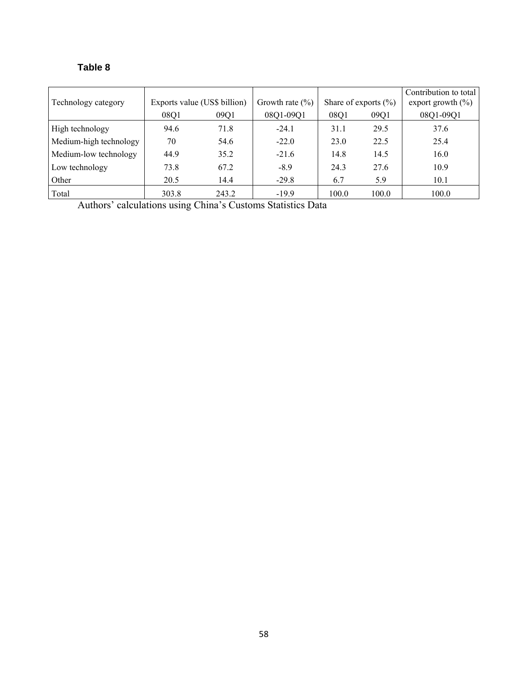# **Table 8**

| Technology category    |       | Exports value (US\$ billion) | Growth rate $(\% )$ |       | Share of exports $(\% )$ | Contribution to total<br>export growth $(\% )$ |
|------------------------|-------|------------------------------|---------------------|-------|--------------------------|------------------------------------------------|
|                        | 08Q1  | 09Q1                         | 08Q1-09Q1           | 08Q1  | 09Q1                     | 08Q1-09Q1                                      |
| High technology        | 94.6  | 71.8                         | $-24.1$             | 31.1  | 29.5                     | 37.6                                           |
| Medium-high technology | 70    | 54.6                         | $-22.0$             | 23.0  | 22.5                     | 25.4                                           |
| Medium-low technology  | 44.9  | 35.2                         | $-21.6$             | 14.8  | 14.5                     | 16.0                                           |
| Low technology         | 73.8  | 67.2                         | $-8.9$              | 24.3  | 27.6                     | 10.9                                           |
| Other                  | 20.5  | 14.4                         | $-29.8$             | 6.7   | 5.9                      | 10.1                                           |
| Total                  | 303.8 | 243.2                        | $-19.9$             | 100.0 | 100.0                    | 100.0                                          |

Authors' calculations using China's Customs Statistics Data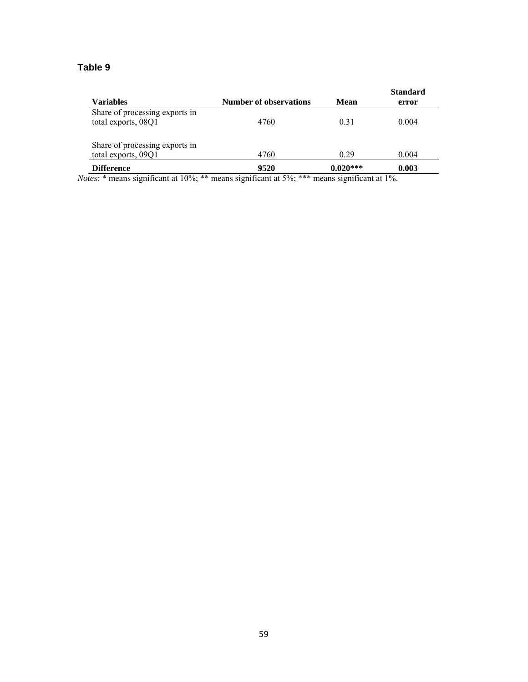# **Table 9**

|                                |                               |            | <b>Standard</b> |
|--------------------------------|-------------------------------|------------|-----------------|
| <b>Variables</b>               | <b>Number of observations</b> | Mean       | error           |
| Share of processing exports in |                               |            |                 |
| total exports, 08Q1            | 4760                          | 0.31       | 0.004           |
|                                |                               |            |                 |
| Share of processing exports in |                               |            |                 |
| total exports, 09Q1            | 4760                          | 0.29       | 0.004           |
| <b>Difference</b>              | 9520                          | $0.020***$ | 0.003           |

*Notes:* \* means significant at 10%; \*\* means significant at 5%; \*\*\* means significant at 1%.